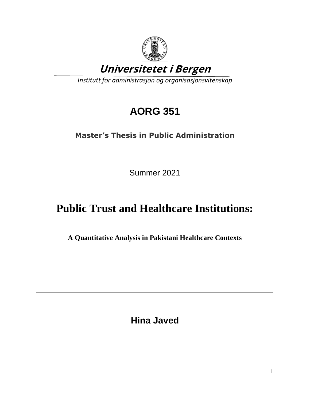

# **AORG 351**

## **Master's Thesis in Public Administration**

Summer 2021

# **Public Trust and Healthcare Institutions:**

**A Quantitative Analysis in Pakistani Healthcare Contexts**

**Hina Javed**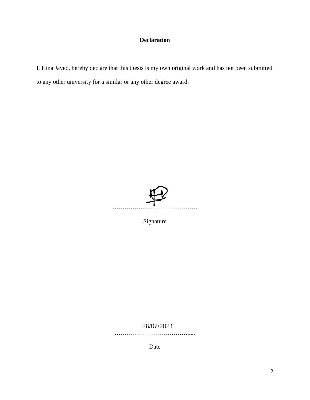### **Declaration**

I, Hina Javed, hereby declare that this thesis is my own original work and has not been submitted to any other university for a similar or any other degree award.



Signature

28/07/2021

……………………………………

Date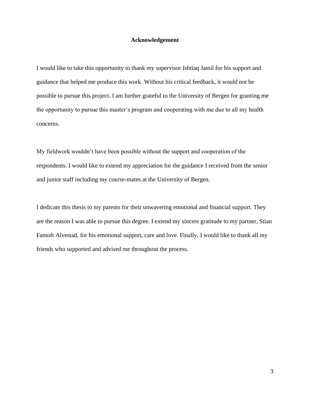#### **Acknowledgement**

I would like to take this opportunity to thank my supervisor Ishtiaq Jamil for his support and guidance that helped me produce this work. Without his critical feedback, it would not be possible to pursue this project. I am further grateful to the University of Bergen for granting me the opportunity to pursue this master's program and cooperating with me due to all my health concerns.

My fieldwork wouldn't have been possible without the support and cooperation of the respondents. I would like to extend my appreciation for the guidance I received from the senior and junior staff including my course-mates at the University of Bergen.

I dedicate this thesis to my parents for their unwavering emotional and financial support. They are the reason I was able to pursue this degree. I extend my sincere gratitude to my partner, Stian Fantoft Alvestad, for his emotional support, care and love. Finally, I would like to thank all my friends who supported and advised me throughout the process.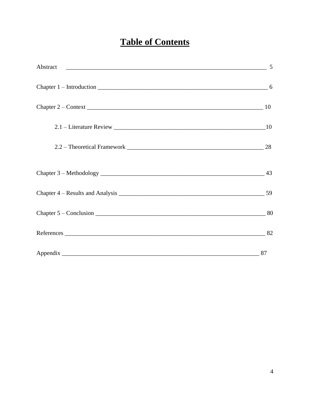## **Table of Contents**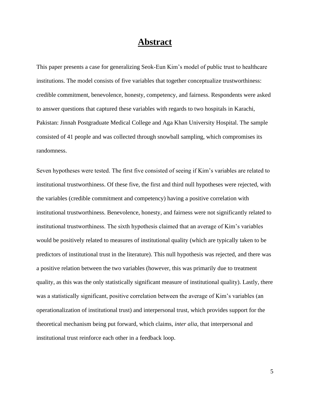## **Abstract**

This paper presents a case for generalizing Seok-Eun Kim's model of public trust to healthcare institutions. The model consists of five variables that together conceptualize trustworthiness: credible commitment, benevolence, honesty, competency, and fairness. Respondents were asked to answer questions that captured these variables with regards to two hospitals in Karachi, Pakistan: Jinnah Postgraduate Medical College and Aga Khan University Hospital. The sample consisted of 41 people and was collected through snowball sampling, which compromises its randomness.

Seven hypotheses were tested. The first five consisted of seeing if Kim's variables are related to institutional trustworthiness. Of these five, the first and third null hypotheses were rejected, with the variables (credible commitment and competency) having a positive correlation with institutional trustworthiness. Benevolence, honesty, and fairness were not significantly related to institutional trustworthiness. The sixth hypothesis claimed that an average of Kim's variables would be positively related to measures of institutional quality (which are typically taken to be predictors of institutional trust in the literature). This null hypothesis was rejected, and there was a positive relation between the two variables (however, this was primarily due to treatment quality, as this was the only statistically significant measure of institutional quality). Lastly, there was a statistically significant, positive correlation between the average of Kim's variables (an operationalization of institutional trust) and interpersonal trust, which provides support for the theoretical mechanism being put forward, which claims, *inter alia*, that interpersonal and institutional trust reinforce each other in a feedback loop.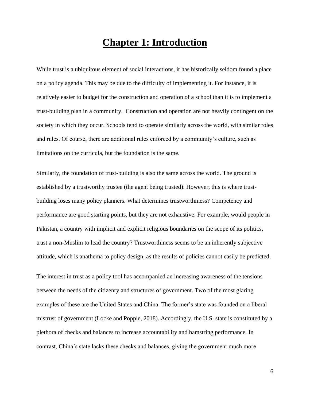## **Chapter 1: Introduction**

While trust is a ubiquitous element of social interactions, it has historically seldom found a place on a policy agenda. This may be due to the difficulty of implementing it. For instance, it is relatively easier to budget for the construction and operation of a school than it is to implement a trust-building plan in a community. Construction and operation are not heavily contingent on the society in which they occur. Schools tend to operate similarly across the world, with similar roles and rules. Of course, there are additional rules enforced by a community's culture, such as limitations on the curricula, but the foundation is the same.

Similarly, the foundation of trust-building is also the same across the world. The ground is established by a trustworthy trustee (the agent being trusted). However, this is where trustbuilding loses many policy planners. What determines trustworthiness? Competency and performance are good starting points, but they are not exhaustive. For example, would people in Pakistan, a country with implicit and explicit religious boundaries on the scope of its politics, trust a non-Muslim to lead the country? Trustworthiness seems to be an inherently subjective attitude, which is anathema to policy design, as the results of policies cannot easily be predicted.

The interest in trust as a policy tool has accompanied an increasing awareness of the tensions between the needs of the citizenry and structures of government. Two of the most glaring examples of these are the United States and China. The former's state was founded on a liberal mistrust of government (Locke and Popple, 2018). Accordingly, the U.S. state is constituted by a plethora of checks and balances to increase accountability and hamstring performance. In contrast, China's state lacks these checks and balances, giving the government much more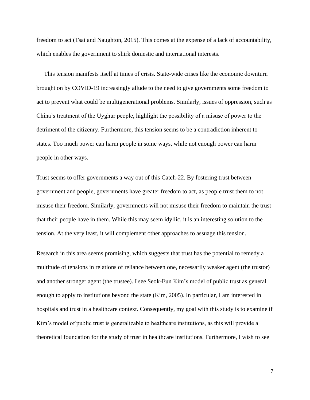freedom to act (Tsai and Naughton, 2015). This comes at the expense of a lack of accountability, which enables the government to shirk domestic and international interests.

 This tension manifests itself at times of crisis. State-wide crises like the economic downturn brought on by COVID-19 increasingly allude to the need to give governments some freedom to act to prevent what could be multigenerational problems. Similarly, issues of oppression, such as China's treatment of the Uyghur people, highlight the possibility of a misuse of power to the detriment of the citizenry. Furthermore, this tension seems to be a contradiction inherent to states. Too much power can harm people in some ways, while not enough power can harm people in other ways.

Trust seems to offer governments a way out of this Catch-22. By fostering trust between government and people, governments have greater freedom to act, as people trust them to not misuse their freedom. Similarly, governments will not misuse their freedom to maintain the trust that their people have in them. While this may seem idyllic, it is an interesting solution to the tension. At the very least, it will complement other approaches to assuage this tension.

Research in this area seems promising, which suggests that trust has the potential to remedy a multitude of tensions in relations of reliance between one, necessarily weaker agent (the trustor) and another stronger agent (the trustee). I see Seok-Eun Kim's model of public trust as general enough to apply to institutions beyond the state (Kim, 2005). In particular, I am interested in hospitals and trust in a healthcare context. Consequently, my goal with this study is to examine if Kim's model of public trust is generalizable to healthcare institutions, as this will provide a theoretical foundation for the study of trust in healthcare institutions. Furthermore, I wish to see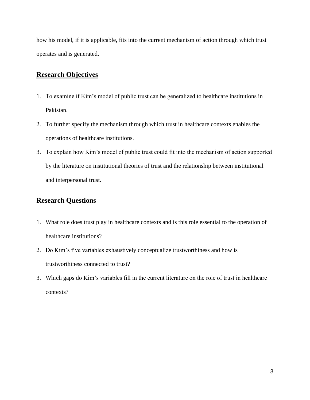how his model, if it is applicable, fits into the current mechanism of action through which trust operates and is generated.

## **Research Objectives**

- 1. To examine if Kim's model of public trust can be generalized to healthcare institutions in Pakistan.
- 2. To further specify the mechanism through which trust in healthcare contexts enables the operations of healthcare institutions.
- 3. To explain how Kim's model of public trust could fit into the mechanism of action supported by the literature on institutional theories of trust and the relationship between institutional and interpersonal trust.

### **Research Questions**

- 1. What role does trust play in healthcare contexts and is this role essential to the operation of healthcare institutions?
- 2. Do Kim's five variables exhaustively conceptualize trustworthiness and how is trustworthiness connected to trust?
- 3. Which gaps do Kim's variables fill in the current literature on the role of trust in healthcare contexts?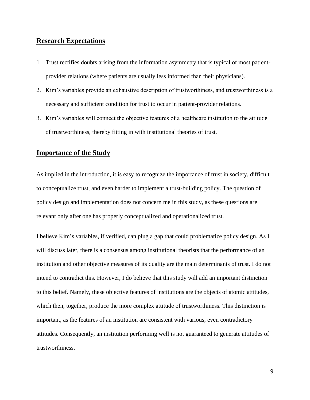### **Research Expectations**

- 1. Trust rectifies doubts arising from the information asymmetry that is typical of most patientprovider relations (where patients are usually less informed than their physicians).
- 2. Kim's variables provide an exhaustive description of trustworthiness, and trustworthiness is a necessary and sufficient condition for trust to occur in patient-provider relations.
- 3. Kim's variables will connect the objective features of a healthcare institution to the attitude of trustworthiness, thereby fitting in with institutional theories of trust.

#### **Importance of the Study**

As implied in the introduction, it is easy to recognize the importance of trust in society, difficult to conceptualize trust, and even harder to implement a trust-building policy. The question of policy design and implementation does not concern me in this study, as these questions are relevant only after one has properly conceptualized and operationalized trust.

I believe Kim's variables, if verified, can plug a gap that could problematize policy design. As I will discuss later, there is a consensus among institutional theorists that the performance of an institution and other objective measures of its quality are the main determinants of trust. I do not intend to contradict this. However, I do believe that this study will add an important distinction to this belief. Namely, these objective features of institutions are the objects of atomic attitudes, which then, together, produce the more complex attitude of trustworthiness. This distinction is important, as the features of an institution are consistent with various, even contradictory attitudes. Consequently, an institution performing well is not guaranteed to generate attitudes of trustworthiness.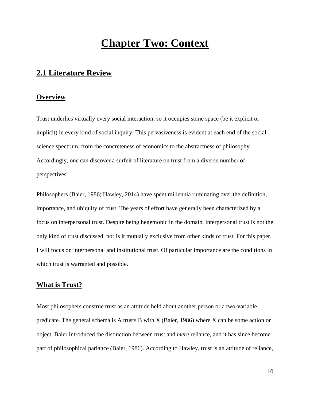## **Chapter Two: Context**

## **2.1 Literature Review**

#### **Overview**

Trust underlies virtually every social interaction, so it occupies some space (be it explicit or implicit) in every kind of social inquiry. This pervasiveness is evident at each end of the social science spectrum, from the concreteness of economics to the abstractness of philosophy. Accordingly, one can discover a surfeit of literature on trust from a diverse number of perspectives.

Philosophers (Baier, 1986; Hawley, 2014) have spent millennia ruminating over the definition, importance, and ubiquity of trust. The years of effort have generally been characterized by a focus on interpersonal trust. Despite being hegemonic in the domain, interpersonal trust is not the only kind of trust discussed, nor is it mutually exclusive from other kinds of trust. For this paper, I will focus on interpersonal and institutional trust. Of particular importance are the conditions in which trust is warranted and possible.

#### **What is Trust?**

Most philosophers construe trust as an attitude held about another person or a two-variable predicate. The general schema is A trusts B with X (Baier, 1986) where X can be some action or object. Baier introduced the distinction between trust and *mere* reliance, and it has since become part of philosophical parlance (Baier, 1986). According to Hawley, trust is an attitude of reliance,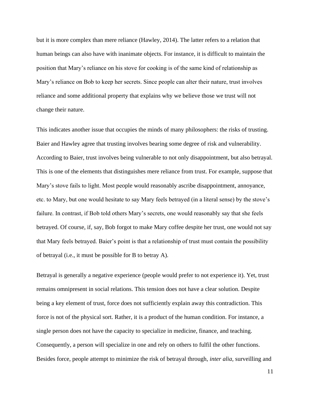but it is more complex than mere reliance (Hawley, 2014). The latter refers to a relation that human beings can also have with inanimate objects. For instance, it is difficult to maintain the position that Mary's reliance on his stove for cooking is of the same kind of relationship as Mary's reliance on Bob to keep her secrets. Since people can alter their nature, trust involves reliance and some additional property that explains why we believe those we trust will not change their nature.

This indicates another issue that occupies the minds of many philosophers: the risks of trusting. Baier and Hawley agree that trusting involves bearing some degree of risk and vulnerability. According to Baier, trust involves being vulnerable to not only disappointment, but also betrayal. This is one of the elements that distinguishes mere reliance from trust. For example, suppose that Mary's stove fails to light. Most people would reasonably ascribe disappointment, annoyance, etc. to Mary, but one would hesitate to say Mary feels betrayed (in a literal sense) by the stove's failure. In contrast, if Bob told others Mary's secrets, one would reasonably say that she feels betrayed. Of course, if, say, Bob forgot to make Mary coffee despite her trust, one would not say that Mary feels betrayed. Baier's point is that a relationship of trust must contain the possibility of betrayal (i.e., it must be possible for B to betray A).

Betrayal is generally a negative experience (people would prefer to not experience it). Yet, trust remains omnipresent in social relations. This tension does not have a clear solution. Despite being a key element of trust, force does not sufficiently explain away this contradiction. This force is not of the physical sort. Rather, it is a product of the human condition. For instance, a single person does not have the capacity to specialize in medicine, finance, and teaching. Consequently, a person will specialize in one and rely on others to fulfil the other functions. Besides force, people attempt to minimize the risk of betrayal through, *inter alia,* surveilling and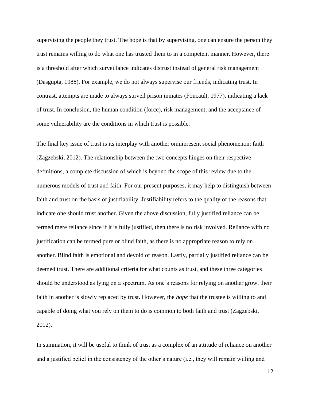supervising the people they trust. The hope is that by supervising, one can ensure the person they trust remains willing to do what one has trusted them to in a competent manner. However, there is a threshold after which surveillance indicates distrust instead of general risk management (Dasgupta, 1988). For example, we do not always supervise our friends, indicating trust. In contrast, attempts are made to always surveil prison inmates (Foucault, 1977), indicating a lack of trust. In conclusion, the human condition (force), risk management, and the acceptance of some vulnerability are the conditions in which trust is possible.

The final key issue of trust is its interplay with another omnipresent social phenomenon: faith (Zagzebski, 2012). The relationship between the two concepts hinges on their respective definitions, a complete discussion of which is beyond the scope of this review due to the numerous models of trust and faith. For our present purposes, it may help to distinguish between faith and trust on the basis of justifiability. Justifiability refers to the quality of the reasons that indicate one should trust another. Given the above discussion, fully justified reliance can be termed mere reliance since if it is fully justified, then there is no risk involved. Reliance with no justification can be termed pure or blind faith, as there is no appropriate reason to rely on another. Blind faith is emotional and devoid of reason. Lastly, partially justified reliance can be deemed trust. There are additional criteria for what counts as trust, and these three categories should be understood as lying on a spectrum. As one's reasons for relying on another grow, their faith in another is slowly replaced by trust. However, the *hope* that the trustee is willing to and capable of doing what you rely on them to do is common to both faith and trust (Zagzebski, 2012).

In summation, it will be useful to think of trust as a complex of an attitude of reliance on another and a justified belief in the consistency of the other's nature (i.e., they will remain willing and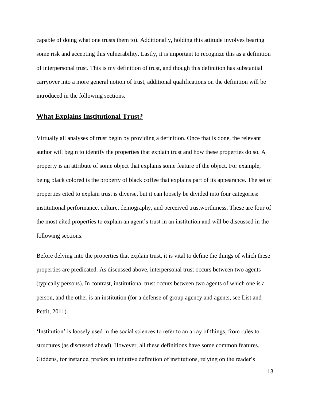capable of doing what one trusts them to). Additionally, holding this attitude involves bearing some risk and accepting this vulnerability. Lastly, it is important to recognize this as a definition of interpersonal trust. This is my definition of trust, and though this definition has substantial carryover into a more general notion of trust, additional qualifications on the definition will be introduced in the following sections.

#### **What Explains Institutional Trust?**

Virtually all analyses of trust begin by providing a definition. Once that is done, the relevant author will begin to identify the properties that explain trust and how these properties do so. A property is an attribute of some object that explains some feature of the object. For example, being black colored is the property of black coffee that explains part of its appearance. The set of properties cited to explain trust is diverse, but it can loosely be divided into four categories: institutional performance, culture, demography, and perceived trustworthiness. These are four of the most cited properties to explain an agent's trust in an institution and will be discussed in the following sections.

Before delving into the properties that explain trust, it is vital to define the things of which these properties are predicated. As discussed above, interpersonal trust occurs between two agents (typically persons). In contrast, institutional trust occurs between two agents of which one is a person, and the other is an institution (for a defense of group agency and agents, see List and Pettit, 2011).

'Institution' is loosely used in the social sciences to refer to an array of things, from rules to structures (as discussed ahead). However, all these definitions have some common features. Giddens, for instance, prefers an intuitive definition of institutions, relying on the reader's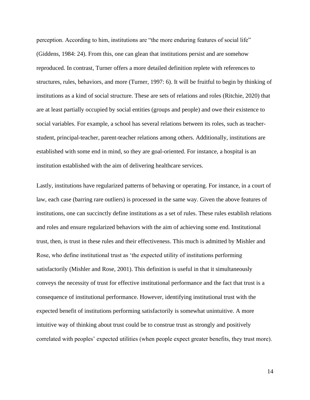perception. According to him, institutions are "the more enduring features of social life" (Giddens, 1984: 24). From this, one can glean that institutions persist and are somehow reproduced. In contrast, Turner offers a more detailed definition replete with references to structures, rules, behaviors, and more (Turner, 1997: 6). It will be fruitful to begin by thinking of institutions as a kind of social structure. These are sets of relations and roles (Ritchie, 2020) that are at least partially occupied by social entities (groups and people) and owe their existence to social variables. For example, a school has several relations between its roles, such as teacherstudent, principal-teacher, parent-teacher relations among others. Additionally, institutions are established with some end in mind, so they are goal-oriented. For instance, a hospital is an institution established with the aim of delivering healthcare services.

Lastly, institutions have regularized patterns of behaving or operating. For instance, in a court of law, each case (barring rare outliers) is processed in the same way. Given the above features of institutions, one can succinctly define institutions as a set of rules. These rules establish relations and roles and ensure regularized behaviors with the aim of achieving some end. Institutional trust, then, is trust in these rules and their effectiveness. This much is admitted by Mishler and Rose, who define institutional trust as 'the expected utility of institutions performing satisfactorily (Mishler and Rose, 2001). This definition is useful in that it simultaneously conveys the necessity of trust for effective institutional performance and the fact that trust is a consequence of institutional performance. However, identifying institutional trust with the expected benefit of institutions performing satisfactorily is somewhat unintuitive. A more intuitive way of thinking about trust could be to construe trust as strongly and positively correlated with peoples' expected utilities (when people expect greater benefits, they trust more).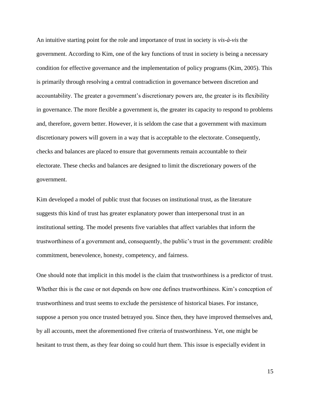An intuitive starting point for the role and importance of trust in society is *vis-à-vis* the government. According to Kim, one of the key functions of trust in society is being a necessary condition for effective governance and the implementation of policy programs (Kim, 2005). This is primarily through resolving a central contradiction in governance between discretion and accountability. The greater a government's discretionary powers are, the greater is its flexibility in governance. The more flexible a government is, the greater its capacity to respond to problems and, therefore, govern better. However, it is seldom the case that a government with maximum discretionary powers will govern in a way that is acceptable to the electorate. Consequently, checks and balances are placed to ensure that governments remain accountable to their electorate. These checks and balances are designed to limit the discretionary powers of the government.

Kim developed a model of public trust that focuses on institutional trust, as the literature suggests this kind of trust has greater explanatory power than interpersonal trust in an institutional setting. The model presents five variables that affect variables that inform the trustworthiness of a government and, consequently, the public's trust in the government: credible commitment, benevolence, honesty, competency, and fairness.

One should note that implicit in this model is the claim that trustworthiness is a predictor of trust. Whether this is the case or not depends on how one defines trustworthiness. Kim's conception of trustworthiness and trust seems to exclude the persistence of historical biases. For instance, suppose a person you once trusted betrayed you. Since then, they have improved themselves and, by all accounts, meet the aforementioned five criteria of trustworthiness. Yet, one might be hesitant to trust them, as they fear doing so could hurt them. This issue is especially evident in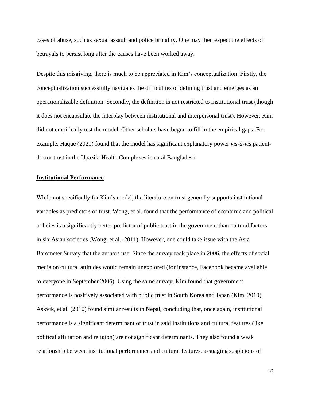cases of abuse, such as sexual assault and police brutality. One may then expect the effects of betrayals to persist long after the causes have been worked away.

Despite this misgiving, there is much to be appreciated in Kim's conceptualization. Firstly, the conceptualization successfully navigates the difficulties of defining trust and emerges as an operationalizable definition. Secondly, the definition is not restricted to institutional trust (though it does not encapsulate the interplay between institutional and interpersonal trust). However, Kim did not empirically test the model. Other scholars have begun to fill in the empirical gaps. For example, Haque (2021) found that the model has significant explanatory power *vis-à-vis* patientdoctor trust in the Upazila Health Complexes in rural Bangladesh.

#### **Institutional Performance**

While not specifically for Kim's model, the literature on trust generally supports institutional variables as predictors of trust. Wong, et al. found that the performance of economic and political policies is a significantly better predictor of public trust in the government than cultural factors in six Asian societies (Wong, et al., 2011). However, one could take issue with the Asia Barometer Survey that the authors use. Since the survey took place in 2006, the effects of social media on cultural attitudes would remain unexplored (for instance, Facebook became available to everyone in September 2006). Using the same survey, Kim found that government performance is positively associated with public trust in South Korea and Japan (Kim, 2010). Askvik, et al. (2010) found similar results in Nepal, concluding that, once again, institutional performance is a significant determinant of trust in said institutions and cultural features (like political affiliation and religion) are not significant determinants. They also found a weak relationship between institutional performance and cultural features, assuaging suspicions of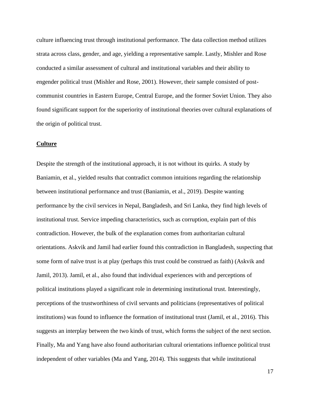culture influencing trust through institutional performance. The data collection method utilizes strata across class, gender, and age, yielding a representative sample. Lastly, Mishler and Rose conducted a similar assessment of cultural and institutional variables and their ability to engender political trust (Mishler and Rose, 2001). However, their sample consisted of postcommunist countries in Eastern Europe, Central Europe, and the former Soviet Union. They also found significant support for the superiority of institutional theories over cultural explanations of the origin of political trust.

#### **Culture**

Despite the strength of the institutional approach, it is not without its quirks. A study by Baniamin, et al., yielded results that contradict common intuitions regarding the relationship between institutional performance and trust (Baniamin, et al., 2019). Despite wanting performance by the civil services in Nepal, Bangladesh, and Sri Lanka, they find high levels of institutional trust. Service impeding characteristics, such as corruption, explain part of this contradiction. However, the bulk of the explanation comes from authoritarian cultural orientations. Askvik and Jamil had earlier found this contradiction in Bangladesh, suspecting that some form of naïve trust is at play (perhaps this trust could be construed as faith) (Askvik and Jamil, 2013). Jamil, et al., also found that individual experiences with and perceptions of political institutions played a significant role in determining institutional trust. Interestingly, perceptions of the trustworthiness of civil servants and politicians (representatives of political institutions) was found to influence the formation of institutional trust (Jamil, et al., 2016). This suggests an interplay between the two kinds of trust, which forms the subject of the next section. Finally, Ma and Yang have also found authoritarian cultural orientations influence political trust independent of other variables (Ma and Yang, 2014). This suggests that while institutional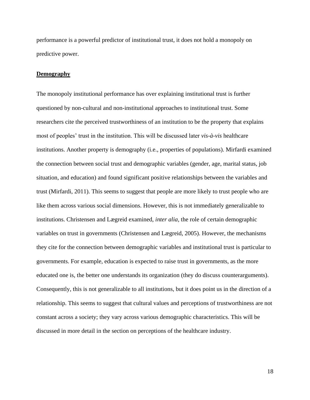performance is a powerful predictor of institutional trust, it does not hold a monopoly on predictive power.

#### **Demography**

The monopoly institutional performance has over explaining institutional trust is further questioned by non-cultural and non-institutional approaches to institutional trust. Some researchers cite the perceived trustworthiness of an institution to be the property that explains most of peoples' trust in the institution. This will be discussed later *vis-à-vis* healthcare institutions. Another property is demography (i.e., properties of populations). Mirfardi examined the connection between social trust and demographic variables (gender, age, marital status, job situation, and education) and found significant positive relationships between the variables and trust (Mirfardi, 2011). This seems to suggest that people are more likely to trust people who are like them across various social dimensions. However, this is not immediately generalizable to institutions. Christensen and Lægreid examined, *inter alia*, the role of certain demographic variables on trust in governments (Christensen and Lægreid, 2005). However, the mechanisms they cite for the connection between demographic variables and institutional trust is particular to governments. For example, education is expected to raise trust in governments, as the more educated one is, the better one understands its organization (they do discuss counterarguments). Consequently, this is not generalizable to all institutions, but it does point us in the direction of a relationship. This seems to suggest that cultural values and perceptions of trustworthiness are not constant across a society; they vary across various demographic characteristics. This will be discussed in more detail in the section on perceptions of the healthcare industry.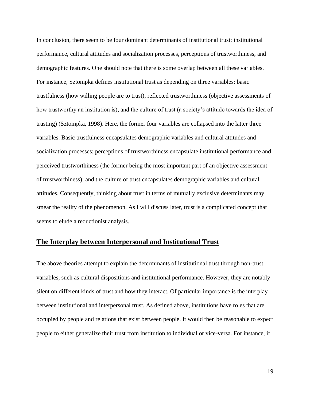In conclusion, there seem to be four dominant determinants of institutional trust: institutional performance, cultural attitudes and socialization processes, perceptions of trustworthiness, and demographic features. One should note that there is some overlap between all these variables. For instance, Sztompka defines institutional trust as depending on three variables: basic trustfulness (how willing people are to trust), reflected trustworthiness (objective assessments of how trustworthy an institution is), and the culture of trust (a society's attitude towards the idea of trusting) (Sztompka, 1998). Here, the former four variables are collapsed into the latter three variables. Basic trustfulness encapsulates demographic variables and cultural attitudes and socialization processes; perceptions of trustworthiness encapsulate institutional performance and perceived trustworthiness (the former being the most important part of an objective assessment of trustworthiness); and the culture of trust encapsulates demographic variables and cultural attitudes. Consequently, thinking about trust in terms of mutually exclusive determinants may smear the reality of the phenomenon. As I will discuss later, trust is a complicated concept that seems to elude a reductionist analysis.

#### **The Interplay between Interpersonal and Institutional Trust**

The above theories attempt to explain the determinants of institutional trust through non-trust variables, such as cultural dispositions and institutional performance. However, they are notably silent on different kinds of trust and how they interact. Of particular importance is the interplay between institutional and interpersonal trust. As defined above, institutions have roles that are occupied by people and relations that exist between people. It would then be reasonable to expect people to either generalize their trust from institution to individual or vice-versa. For instance, if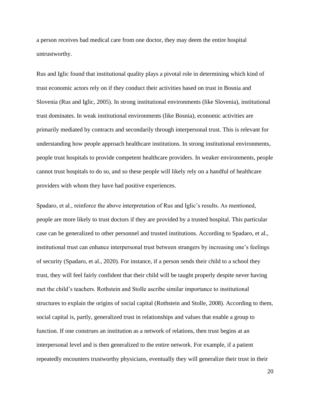a person receives bad medical care from one doctor, they may deem the entire hospital untrustworthy.

Rus and Iglic found that institutional quality plays a pivotal role in determining which kind of trust economic actors rely on if they conduct their activities based on trust in Bosnia and Slovenia (Rus and Iglic, 2005). In strong institutional environments (like Slovenia), institutional trust dominates. In weak institutional environments (like Bosnia), economic activities are primarily mediated by contracts and secondarily through interpersonal trust. This is relevant for understanding how people approach healthcare institutions. In strong institutional environments, people trust hospitals to provide competent healthcare providers. In weaker environments, people cannot trust hospitals to do so, and so these people will likely rely on a handful of healthcare providers with whom they have had positive experiences.

Spadaro, et al., reinforce the above interpretation of Rus and Iglic's results. As mentioned, people are more likely to trust doctors if they are provided by a trusted hospital. This particular case can be generalized to other personnel and trusted institutions. According to Spadaro, et al., institutional trust can enhance interpersonal trust between strangers by increasing one's feelings of security (Spadaro, et al., 2020). For instance, if a person sends their child to a school they trust, they will feel fairly confident that their child will be taught properly despite never having met the child's teachers. Rothstein and Stolle ascribe similar importance to institutional structures to explain the origins of social capital (Rothstein and Stolle, 2008). According to them, social capital is, partly, generalized trust in relationships and values that enable a group to function. If one construes an institution as a network of relations, then trust begins at an interpersonal level and is then generalized to the entire network. For example, if a patient repeatedly encounters trustworthy physicians, eventually they will generalize their trust in their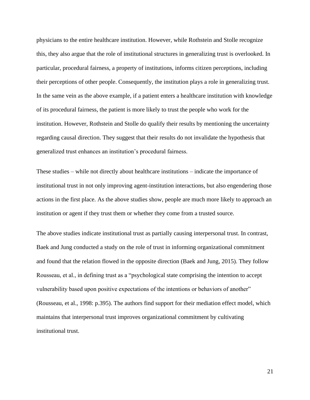physicians to the entire healthcare institution. However, while Rothstein and Stolle recognize this, they also argue that the role of institutional structures in generalizing trust is overlooked. In particular, procedural fairness, a property of institutions, informs citizen perceptions, including their perceptions of other people. Consequently, the institution plays a role in generalizing trust. In the same vein as the above example, if a patient enters a healthcare institution with knowledge of its procedural fairness, the patient is more likely to trust the people who work for the institution. However, Rothstein and Stolle do qualify their results by mentioning the uncertainty regarding causal direction. They suggest that their results do not invalidate the hypothesis that generalized trust enhances an institution's procedural fairness.

These studies – while not directly about healthcare institutions – indicate the importance of institutional trust in not only improving agent-institution interactions, but also engendering those actions in the first place. As the above studies show, people are much more likely to approach an institution or agent if they trust them or whether they come from a trusted source.

The above studies indicate institutional trust as partially causing interpersonal trust. In contrast, Baek and Jung conducted a study on the role of trust in informing organizational commitment and found that the relation flowed in the opposite direction (Baek and Jung, 2015). They follow Rousseau, et al., in defining trust as a "psychological state comprising the intention to accept vulnerability based upon positive expectations of the intentions or behaviors of another" (Rousseau, et al., 1998: p.395). The authors find support for their mediation effect model, which maintains that interpersonal trust improves organizational commitment by cultivating institutional trust.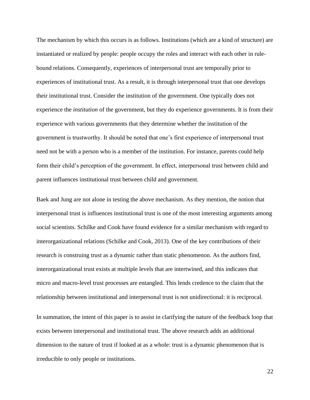The mechanism by which this occurs is as follows. Institutions (which are a kind of structure) are instantiated or realized by people: people occupy the roles and interact with each other in rulebound relations. Consequently, experiences of interpersonal trust are temporally prior to experiences of institutional trust. As a result, it is through interpersonal trust that one develops their institutional trust. Consider the institution of the government. One typically does not experience the *institution* of the government, but they do experience governments. It is from their experience with various governments that they determine whether the institution of the government is trustworthy. It should be noted that one's first experience of interpersonal trust need not be with a person who is a member of the institution. For instance, parents could help form their child's perception of the government. In effect, interpersonal trust between child and parent influences institutional trust between child and government.

Baek and Jung are not alone in testing the above mechanism. As they mention, the notion that interpersonal trust is influences institutional trust is one of the most interesting arguments among social scientists. Schilke and Cook have found evidence for a similar mechanism with regard to interorganizational relations (Schilke and Cook, 2013). One of the key contributions of their research is construing trust as a dynamic rather than static phenomenon. As the authors find, interorganizational trust exists at multiple levels that are intertwined, and this indicates that micro and macro-level trust processes are entangled. This lends credence to the claim that the relationship between institutional and interpersonal trust is not unidirectional: it is reciprocal.

In summation, the intent of this paper is to assist in clarifying the nature of the feedback loop that exists between interpersonal and institutional trust. The above research adds an additional dimension to the nature of trust if looked at as a whole: trust is a dynamic phenomenon that is irreducible to only people or institutions.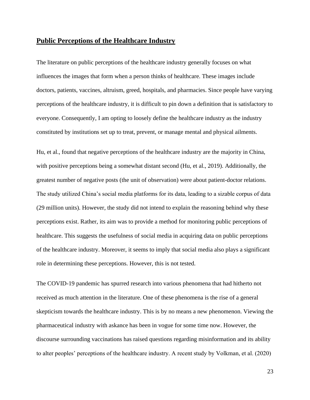### **Public Perceptions of the Healthcare Industry**

The literature on public perceptions of the healthcare industry generally focuses on what influences the images that form when a person thinks of healthcare. These images include doctors, patients, vaccines, altruism, greed, hospitals, and pharmacies. Since people have varying perceptions of the healthcare industry, it is difficult to pin down a definition that is satisfactory to everyone. Consequently, I am opting to loosely define the healthcare industry as the industry constituted by institutions set up to treat, prevent, or manage mental and physical ailments.

Hu, et al., found that negative perceptions of the healthcare industry are the majority in China, with positive perceptions being a somewhat distant second (Hu, et al., 2019). Additionally, the greatest number of negative posts (the unit of observation) were about patient-doctor relations. The study utilized China's social media platforms for its data, leading to a sizable corpus of data (29 million units). However, the study did not intend to explain the reasoning behind why these perceptions exist. Rather, its aim was to provide a method for monitoring public perceptions of healthcare. This suggests the usefulness of social media in acquiring data on public perceptions of the healthcare industry. Moreover, it seems to imply that social media also plays a significant role in determining these perceptions. However, this is not tested.

The COVID-19 pandemic has spurred research into various phenomena that had hitherto not received as much attention in the literature. One of these phenomena is the rise of a general skepticism towards the healthcare industry. This is by no means a new phenomenon. Viewing the pharmaceutical industry with askance has been in vogue for some time now. However, the discourse surrounding vaccinations has raised questions regarding misinformation and its ability to alter peoples' perceptions of the healthcare industry. A recent study by Volkman, et al. (2020)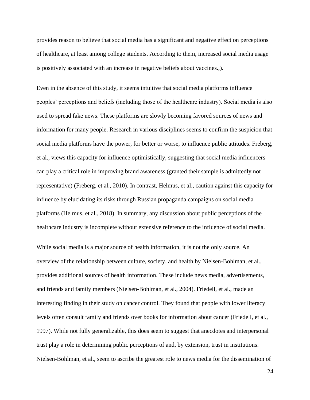provides reason to believe that social media has a significant and negative effect on perceptions of healthcare, at least among college students. According to them, increased social media usage is positively associated with an increase in negative beliefs about vaccines.,).

Even in the absence of this study, it seems intuitive that social media platforms influence peoples' perceptions and beliefs (including those of the healthcare industry). Social media is also used to spread fake news. These platforms are slowly becoming favored sources of news and information for many people. Research in various disciplines seems to confirm the suspicion that social media platforms have the power, for better or worse, to influence public attitudes. Freberg, et al., views this capacity for influence optimistically, suggesting that social media influencers can play a critical role in improving brand awareness (granted their sample is admittedly not representative) (Freberg, et al., 2010). In contrast, Helmus, et al., caution against this capacity for influence by elucidating its risks through Russian propaganda campaigns on social media platforms (Helmus, et al., 2018). In summary, any discussion about public perceptions of the healthcare industry is incomplete without extensive reference to the influence of social media.

While social media is a major source of health information, it is not the only source. An overview of the relationship between culture, society, and health by Nielsen-Bohlman, et al., provides additional sources of health information. These include news media, advertisements, and friends and family members (Nielsen-Bohlman, et al., 2004). Friedell, et al., made an interesting finding in their study on cancer control. They found that people with lower literacy levels often consult family and friends over books for information about cancer (Friedell, et al., 1997). While not fully generalizable, this does seem to suggest that anecdotes and interpersonal trust play a role in determining public perceptions of and, by extension, trust in institutions. Nielsen-Bohlman, et al., seem to ascribe the greatest role to news media for the dissemination of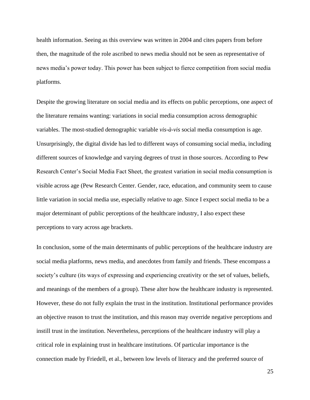health information. Seeing as this overview was written in 2004 and cites papers from before then, the magnitude of the role ascribed to news media should not be seen as representative of news media's power today. This power has been subject to fierce competition from social media platforms.

Despite the growing literature on social media and its effects on public perceptions, one aspect of the literature remains wanting: variations in social media consumption across demographic variables. The most-studied demographic variable *vis-à-vis* social media consumption is age. Unsurprisingly, the digital divide has led to different ways of consuming social media, including different sources of knowledge and varying degrees of trust in those sources. According to Pew Research Center's Social Media Fact Sheet, the greatest variation in social media consumption is visible across age (Pew Research Center. Gender, race, education, and community seem to cause little variation in social media use, especially relative to age. Since I expect social media to be a major determinant of public perceptions of the healthcare industry, I also expect these perceptions to vary across age brackets.

In conclusion, some of the main determinants of public perceptions of the healthcare industry are social media platforms, news media, and anecdotes from family and friends. These encompass a society's culture (its ways of expressing and experiencing creativity or the set of values, beliefs, and meanings of the members of a group). These alter how the healthcare industry is represented. However, these do not fully explain the trust in the institution. Institutional performance provides an objective reason to trust the institution, and this reason may override negative perceptions and instill trust in the institution. Nevertheless, perceptions of the healthcare industry will play a critical role in explaining trust in healthcare institutions. Of particular importance is the connection made by Friedell, et al., between low levels of literacy and the preferred source of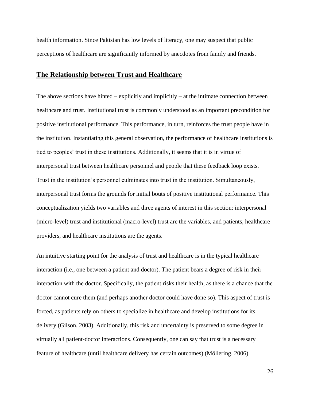health information. Since Pakistan has low levels of literacy, one may suspect that public perceptions of healthcare are significantly informed by anecdotes from family and friends.

#### **The Relationship between Trust and Healthcare**

The above sections have hinted – explicitly and implicitly – at the intimate connection between healthcare and trust. Institutional trust is commonly understood as an important precondition for positive institutional performance. This performance, in turn, reinforces the trust people have in the institution. Instantiating this general observation, the performance of healthcare institutions is tied to peoples' trust in these institutions. Additionally, it seems that it is in virtue of interpersonal trust between healthcare personnel and people that these feedback loop exists. Trust in the institution's personnel culminates into trust in the institution. Simultaneously, interpersonal trust forms the grounds for initial bouts of positive institutional performance. This conceptualization yields two variables and three agents of interest in this section: interpersonal (micro-level) trust and institutional (macro-level) trust are the variables, and patients, healthcare providers, and healthcare institutions are the agents.

An intuitive starting point for the analysis of trust and healthcare is in the typical healthcare interaction (i.e., one between a patient and doctor). The patient bears a degree of risk in their interaction with the doctor. Specifically, the patient risks their health, as there is a chance that the doctor cannot cure them (and perhaps another doctor could have done so). This aspect of trust is forced, as patients rely on others to specialize in healthcare and develop institutions for its delivery (Gilson, 2003). Additionally, this risk and uncertainty is preserved to some degree in virtually all patient-doctor interactions. Consequently, one can say that trust is a necessary feature of healthcare (until healthcare delivery has certain outcomes) (Möllering, 2006).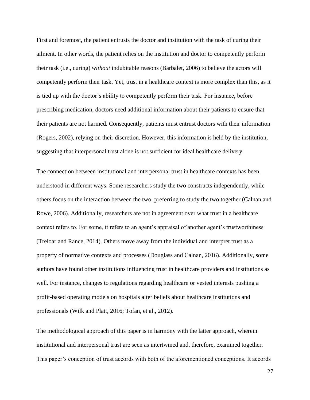First and foremost, the patient entrusts the doctor and institution with the task of curing their ailment. In other words, the patient relies on the institution and doctor to competently perform their task (i.e., curing) *without* indubitable reasons (Barbalet, 2006) to believe the actors will competently perform their task. Yet, trust in a healthcare context is more complex than this, as it is tied up with the doctor's ability to competently perform their task. For instance, before prescribing medication, doctors need additional information about their patients to ensure that their patients are not harmed. Consequently, patients must entrust doctors with their information (Rogers, 2002), relying on their discretion. However, this information is held by the institution, suggesting that interpersonal trust alone is not sufficient for ideal healthcare delivery.

The connection between institutional and interpersonal trust in healthcare contexts has been understood in different ways. Some researchers study the two constructs independently, while others focus on the interaction between the two, preferring to study the two together (Calnan and Rowe, 2006). Additionally, researchers are not in agreement over what trust in a healthcare context refers to. For some, it refers to an agent's appraisal of another agent's trustworthiness (Treloar and Rance, 2014). Others move away from the individual and interpret trust as a property of normative contexts and processes (Douglass and Calnan, 2016). Additionally, some authors have found other institutions influencing trust in healthcare providers and institutions as well. For instance, changes to regulations regarding healthcare or vested interests pushing a profit-based operating models on hospitals alter beliefs about healthcare institutions and professionals (Wilk and Platt, 2016; Tofan, et al., 2012).

The methodological approach of this paper is in harmony with the latter approach, wherein institutional and interpersonal trust are seen as intertwined and, therefore, examined together. This paper's conception of trust accords with both of the aforementioned conceptions. It accords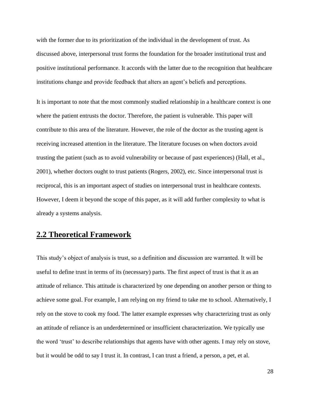with the former due to its prioritization of the individual in the development of trust. As discussed above, interpersonal trust forms the foundation for the broader institutional trust and positive institutional performance. It accords with the latter due to the recognition that healthcare institutions change and provide feedback that alters an agent's beliefs and perceptions.

It is important to note that the most commonly studied relationship in a healthcare context is one where the patient entrusts the doctor. Therefore, the patient is vulnerable. This paper will contribute to this area of the literature. However, the role of the doctor as the trusting agent is receiving increased attention in the literature. The literature focuses on when doctors avoid trusting the patient (such as to avoid vulnerability or because of past experiences) (Hall, et al., 2001), whether doctors ought to trust patients (Rogers, 2002), etc. Since interpersonal trust is reciprocal, this is an important aspect of studies on interpersonal trust in healthcare contexts. However, I deem it beyond the scope of this paper, as it will add further complexity to what is already a systems analysis.

## **2.2 Theoretical Framework**

This study's object of analysis is trust, so a definition and discussion are warranted. It will be useful to define trust in terms of its (necessary) parts. The first aspect of trust is that it as an attitude of reliance. This attitude is characterized by one depending on another person or thing to achieve some goal. For example, I am relying on my friend to take me to school. Alternatively, I rely on the stove to cook my food. The latter example expresses why characterizing trust as only an attitude of reliance is an underdetermined or insufficient characterization. We typically use the word 'trust' to describe relationships that agents have with other agents. I may rely on stove, but it would be odd to say I trust it. In contrast, I can trust a friend, a person, a pet, et al.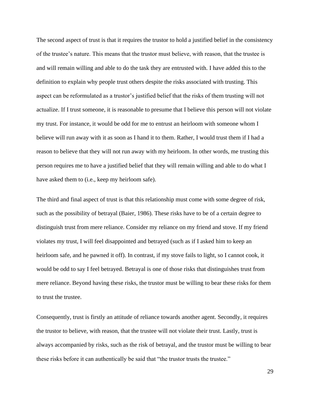The second aspect of trust is that it requires the trustor to hold a justified belief in the consistency of the trustee's nature. This means that the trustor must believe, with reason, that the trustee is and will remain willing and able to do the task they are entrusted with. I have added this to the definition to explain why people trust others despite the risks associated with trusting. This aspect can be reformulated as a trustor's justified belief that the risks of them trusting will not actualize. If I trust someone, it is reasonable to presume that I believe this person will not violate my trust. For instance, it would be odd for me to entrust an heirloom with someone whom I believe will run away with it as soon as I hand it to them. Rather, I would trust them if I had a reason to believe that they will not run away with my heirloom. In other words, me trusting this person requires me to have a justified belief that they will remain willing and able to do what I have asked them to (i.e., keep my heirloom safe).

The third and final aspect of trust is that this relationship must come with some degree of risk, such as the possibility of betrayal (Baier, 1986). These risks have to be of a certain degree to distinguish trust from mere reliance. Consider my reliance on my friend and stove. If my friend violates my trust, I will feel disappointed and betrayed (such as if I asked him to keep an heirloom safe, and he pawned it off). In contrast, if my stove fails to light, so I cannot cook, it would be odd to say I feel betrayed. Betrayal is one of those risks that distinguishes trust from mere reliance. Beyond having these risks, the trustor must be willing to bear these risks for them to trust the trustee.

Consequently, trust is firstly an attitude of reliance towards another agent. Secondly, it requires the trustor to believe, with reason, that the trustee will not violate their trust. Lastly, trust is always accompanied by risks, such as the risk of betrayal, and the trustor must be willing to bear these risks before it can authentically be said that "the trustor trusts the trustee."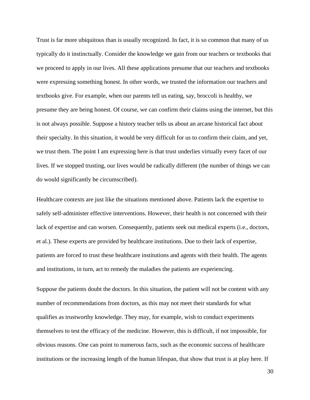Trust is far more ubiquitous than is usually recognized. In fact, it is so common that many of us typically do it instinctually. Consider the knowledge we gain from our teachers or textbooks that we proceed to apply in our lives. All these applications presume that our teachers and textbooks were expressing something honest. In other words, we trusted the information our teachers and textbooks give. For example, when our parents tell us eating, say, broccoli is healthy, we presume they are being honest. Of course, we can confirm their claims using the internet, but this is not always possible. Suppose a history teacher tells us about an arcane historical fact about their specialty. In this situation, it would be very difficult for us to confirm their claim, and yet, we trust them. The point I am expressing here is that trust underlies virtually every facet of our lives. If we stopped trusting, our lives would be radically different (the number of things we can do would significantly be circumscribed).

Healthcare contexts are just like the situations mentioned above. Patients lack the expertise to safely self-administer effective interventions. However, their health is not concerned with their lack of expertise and can worsen. Consequently, patients seek out medical experts (i.e., doctors, et al.). These experts are provided by healthcare institutions. Due to their lack of expertise, patients are forced to trust these healthcare institutions and agents with their health. The agents and institutions, in turn, act to remedy the maladies the patients are experiencing.

Suppose the patients doubt the doctors. In this situation, the patient will not be content with any number of recommendations from doctors, as this may not meet their standards for what qualifies as trustworthy knowledge. They may, for example, wish to conduct experiments themselves to test the efficacy of the medicine. However, this is difficult, if not impossible, for obvious reasons. One can point to numerous facts, such as the economic success of healthcare institutions or the increasing length of the human lifespan, that show that trust is at play here. If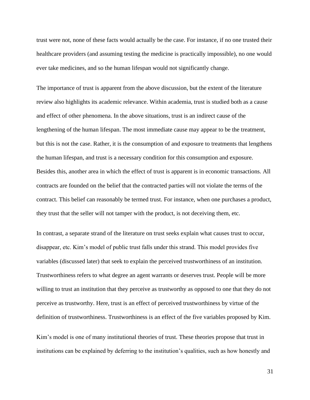trust were not, none of these facts would actually be the case. For instance, if no one trusted their healthcare providers (and assuming testing the medicine is practically impossible), no one would ever take medicines, and so the human lifespan would not significantly change.

The importance of trust is apparent from the above discussion, but the extent of the literature review also highlights its academic relevance. Within academia, trust is studied both as a cause and effect of other phenomena. In the above situations, trust is an indirect cause of the lengthening of the human lifespan. The most immediate cause may appear to be the treatment, but this is not the case. Rather, it is the consumption of and exposure to treatments that lengthens the human lifespan, and trust is a necessary condition for this consumption and exposure. Besides this, another area in which the effect of trust is apparent is in economic transactions. All contracts are founded on the belief that the contracted parties will not violate the terms of the contract. This belief can reasonably be termed trust. For instance, when one purchases a product, they trust that the seller will not tamper with the product, is not deceiving them, etc.

In contrast, a separate strand of the literature on trust seeks explain what causes trust to occur, disappear, etc. Kim's model of public trust falls under this strand. This model provides five variables (discussed later) that seek to explain the perceived trustworthiness of an institution. Trustworthiness refers to what degree an agent warrants or deserves trust. People will be more willing to trust an institution that they perceive as trustworthy as opposed to one that they do not perceive as trustworthy. Here, trust is an effect of perceived trustworthiness by virtue of the definition of trustworthiness. Trustworthiness is an effect of the five variables proposed by Kim.

Kim's model is one of many institutional theories of trust. These theories propose that trust in institutions can be explained by deferring to the institution's qualities, such as how honestly and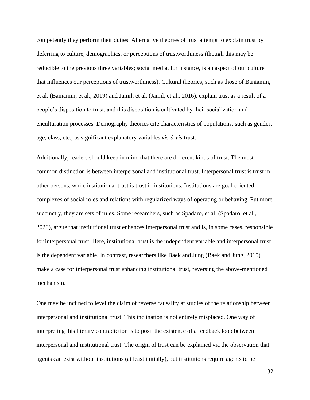competently they perform their duties. Alternative theories of trust attempt to explain trust by deferring to culture, demographics, or perceptions of trustworthiness (though this may be reducible to the previous three variables; social media, for instance, is an aspect of our culture that influences our perceptions of trustworthiness). Cultural theories, such as those of Baniamin, et al. (Baniamin, et al., 2019) and Jamil, et al. (Jamil, et al., 2016), explain trust as a result of a people's disposition to trust, and this disposition is cultivated by their socialization and enculturation processes. Demography theories cite characteristics of populations, such as gender, age, class, etc., as significant explanatory variables *vis-à-vis* trust.

Additionally, readers should keep in mind that there are different kinds of trust. The most common distinction is between interpersonal and institutional trust. Interpersonal trust is trust in other persons, while institutional trust is trust in institutions. Institutions are goal-oriented complexes of social roles and relations with regularized ways of operating or behaving. Put more succinctly, they are sets of rules. Some researchers, such as Spadaro, et al. (Spadaro, et al., 2020), argue that institutional trust enhances interpersonal trust and is, in some cases, responsible for interpersonal trust. Here, institutional trust is the independent variable and interpersonal trust is the dependent variable. In contrast, researchers like Baek and Jung (Baek and Jung, 2015) make a case for interpersonal trust enhancing institutional trust, reversing the above-mentioned mechanism.

One may be inclined to level the claim of reverse causality at studies of the relationship between interpersonal and institutional trust. This inclination is not entirely misplaced. One way of interpreting this literary contradiction is to posit the existence of a feedback loop between interpersonal and institutional trust. The origin of trust can be explained via the observation that agents can exist without institutions (at least initially), but institutions require agents to be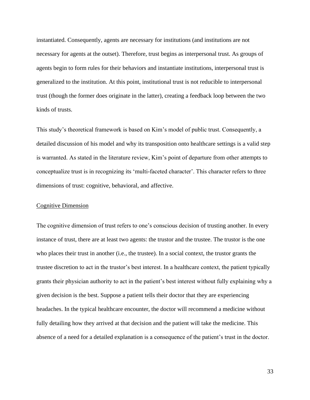instantiated. Consequently, agents are necessary for institutions (and institutions are not necessary for agents at the outset). Therefore, trust begins as interpersonal trust. As groups of agents begin to form rules for their behaviors and instantiate institutions, interpersonal trust is generalized to the institution. At this point, institutional trust is not reducible to interpersonal trust (though the former does originate in the latter), creating a feedback loop between the two kinds of trusts.

This study's theoretical framework is based on Kim's model of public trust. Consequently, a detailed discussion of his model and why its transposition onto healthcare settings is a valid step is warranted. As stated in the literature review, Kim's point of departure from other attempts to conceptualize trust is in recognizing its 'multi-faceted character'. This character refers to three dimensions of trust: cognitive, behavioral, and affective.

#### Cognitive Dimension

The cognitive dimension of trust refers to one's conscious decision of trusting another. In every instance of trust, there are at least two agents: the trustor and the trustee. The trustor is the one who places their trust in another (i.e., the trustee). In a social context, the trustor grants the trustee discretion to act in the trustor's best interest. In a healthcare context, the patient typically grants their physician authority to act in the patient's best interest without fully explaining why a given decision is the best. Suppose a patient tells their doctor that they are experiencing headaches. In the typical healthcare encounter, the doctor will recommend a medicine without fully detailing how they arrived at that decision and the patient will take the medicine. This absence of a need for a detailed explanation is a consequence of the patient's trust in the doctor.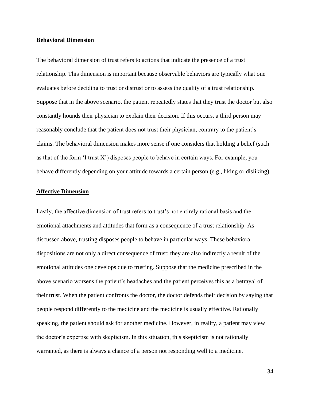#### **Behavioral Dimension**

The behavioral dimension of trust refers to actions that indicate the presence of a trust relationship. This dimension is important because observable behaviors are typically what one evaluates before deciding to trust or distrust or to assess the quality of a trust relationship. Suppose that in the above scenario, the patient repeatedly states that they trust the doctor but also constantly hounds their physician to explain their decision. If this occurs, a third person may reasonably conclude that the patient does not trust their physician, contrary to the patient's claims. The behavioral dimension makes more sense if one considers that holding a belief (such as that of the form  $\lq$  trust X') disposes people to behave in certain ways. For example, you behave differently depending on your attitude towards a certain person (e.g., liking or disliking).

#### **Affective Dimension**

Lastly, the affective dimension of trust refers to trust's not entirely rational basis and the emotional attachments and attitudes that form as a consequence of a trust relationship. As discussed above, trusting disposes people to behave in particular ways. These behavioral dispositions are not only a direct consequence of trust: they are also indirectly a result of the emotional attitudes one develops due to trusting. Suppose that the medicine prescribed in the above scenario worsens the patient's headaches and the patient perceives this as a betrayal of their trust. When the patient confronts the doctor, the doctor defends their decision by saying that people respond differently to the medicine and the medicine is usually effective. Rationally speaking, the patient should ask for another medicine. However, in reality, a patient may view the doctor's expertise with skepticism. In this situation, this skepticism is not rationally warranted, as there is always a chance of a person not responding well to a medicine.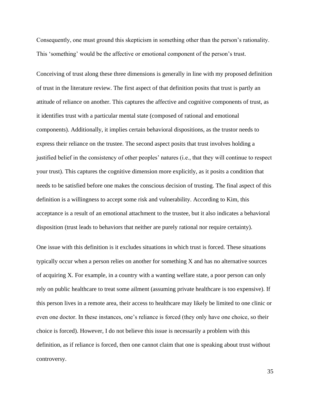Consequently, one must ground this skepticism in something other than the person's rationality. This 'something' would be the affective or emotional component of the person's trust.

Conceiving of trust along these three dimensions is generally in line with my proposed definition of trust in the literature review. The first aspect of that definition posits that trust is partly an attitude of reliance on another. This captures the affective and cognitive components of trust, as it identifies trust with a particular mental state (composed of rational and emotional components). Additionally, it implies certain behavioral dispositions, as the trustor needs to express their reliance on the trustee. The second aspect posits that trust involves holding a justified belief in the consistency of other peoples' natures (i.e., that they will continue to respect your trust). This captures the cognitive dimension more explicitly, as it posits a condition that needs to be satisfied before one makes the conscious decision of trusting. The final aspect of this definition is a willingness to accept some risk and vulnerability. According to Kim, this acceptance is a result of an emotional attachment to the trustee, but it also indicates a behavioral disposition (trust leads to behaviors that neither are purely rational nor require certainty).

One issue with this definition is it excludes situations in which trust is forced. These situations typically occur when a person relies on another for something X and has no alternative sources of acquiring X. For example, in a country with a wanting welfare state, a poor person can only rely on public healthcare to treat some ailment (assuming private healthcare is too expensive). If this person lives in a remote area, their access to healthcare may likely be limited to one clinic or even one doctor. In these instances, one's reliance is forced (they only have one choice, so their choice is forced). However, I do not believe this issue is necessarily a problem with this definition, as if reliance is forced, then one cannot claim that one is speaking about trust without controversy.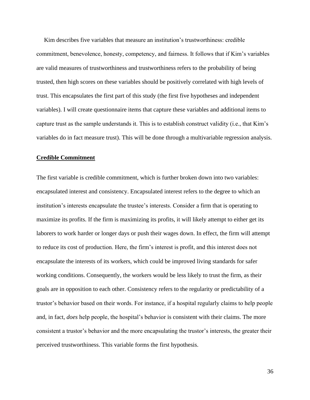Kim describes five variables that measure an institution's trustworthiness: credible commitment, benevolence, honesty, competency, and fairness. It follows that if Kim's variables are valid measures of trustworthiness and trustworthiness refers to the probability of being trusted, then high scores on these variables should be positively correlated with high levels of trust. This encapsulates the first part of this study (the first five hypotheses and independent variables). I will create questionnaire items that capture these variables and additional items to capture trust as the sample understands it. This is to establish construct validity (i.e., that Kim's variables do in fact measure trust). This will be done through a multivariable regression analysis.

#### **Credible Commitment**

The first variable is credible commitment, which is further broken down into two variables: encapsulated interest and consistency. Encapsulated interest refers to the degree to which an institution's interests encapsulate the trustee's interests. Consider a firm that is operating to maximize its profits. If the firm is maximizing its profits, it will likely attempt to either get its laborers to work harder or longer days or push their wages down. In effect, the firm will attempt to reduce its cost of production. Here, the firm's interest is profit, and this interest does not encapsulate the interests of its workers, which could be improved living standards for safer working conditions. Consequently, the workers would be less likely to trust the firm, as their goals are in opposition to each other. Consistency refers to the regularity or predictability of a trustor's behavior based on their words. For instance, if a hospital regularly claims to help people and, in fact, *does* help people, the hospital's behavior is consistent with their claims. The more consistent a trustor's behavior and the more encapsulating the trustor's interests, the greater their perceived trustworthiness. This variable forms the first hypothesis.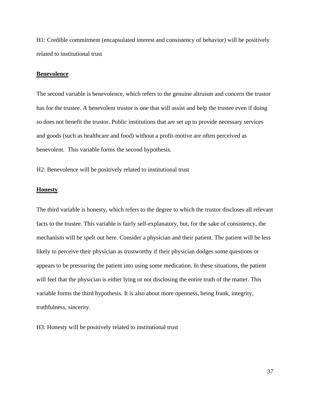H1: Credible commitment (encapsulated interest and consistency of behavior) will be positively related to institutional trust

#### **Benevolence**

The second variable is benevolence, which refers to the genuine altruism and concern the trustor has for the trustee. A benevolent trustor is one that will assist and help the trustee even if doing so does not benefit the trustor. Public institutions that are set up to provide necessary services and goods (such as healthcare and food) without a profit-motive are often perceived as benevolent. This variable forms the second hypothesis.

H2: Benevolence will be positively related to institutional trust

#### **Honesty**

The third variable is honesty, which refers to the degree to which the trustor discloses all relevant facts to the trustee. This variable is fairly self-explanatory, but, for the sake of consistency, the mechanism will be spelt out here. Consider a physician and their patient. The patient will be less likely to perceive their physician as trustworthy if their physician dodges some questions or appears to be pressuring the patient into using some medication. In these situations, the patient will feel that the physician is either lying or not disclosing the entire truth of the matter. This variable forms the third hypothesis. It is also about more openness, being frank, integrity, truthfulness, sincerity.

H3: Honesty will be positively related to institutional trust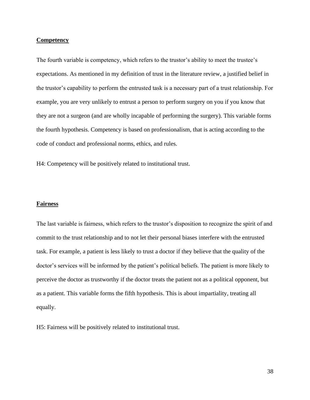#### **Competency**

The fourth variable is competency, which refers to the trustor's ability to meet the trustee's expectations. As mentioned in my definition of trust in the literature review, a justified belief in the trustor's capability to perform the entrusted task is a necessary part of a trust relationship. For example, you are very unlikely to entrust a person to perform surgery on you if you know that they are not a surgeon (and are wholly incapable of performing the surgery). This variable forms the fourth hypothesis. Competency is based on professionalism, that is acting according to the code of conduct and professional norms, ethics, and rules.

H4: Competency will be positively related to institutional trust.

### **Fairness**

The last variable is fairness, which refers to the trustor's disposition to recognize the spirit of and commit to the trust relationship and to not let their personal biases interfere with the entrusted task. For example, a patient is less likely to trust a doctor if they believe that the quality of the doctor's services will be informed by the patient's political beliefs. The patient is more likely to perceive the doctor as trustworthy if the doctor treats the patient not as a political opponent, but as a patient. This variable forms the fifth hypothesis. This is about impartiality, treating all equally.

H5: Fairness will be positively related to institutional trust.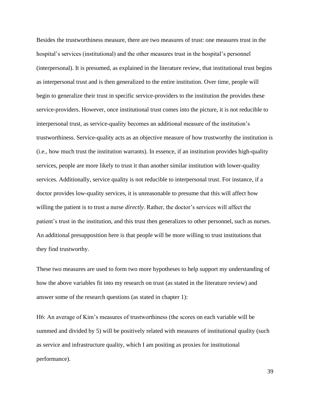Besides the trustworthiness measure, there are two measures of trust: one measures trust in the hospital's services (institutional) and the other measures trust in the hospital's personnel (interpersonal). It is presumed, as explained in the literature review, that institutional trust begins as interpersonal trust and is then generalized to the entire institution. Over time, people will begin to generalize their trust in specific service-providers to the institution the provides these service-providers. However, once institutional trust comes into the picture, it is not reducible to interpersonal trust, as service-quality becomes an additional measure of the institution's trustworthiness. Service-quality acts as an objective measure of how trustworthy the institution is (i.e., how much trust the institution warrants). In essence, if an institution provides high-quality services, people are more likely to trust it than another similar institution with lower-quality services. Additionally, service quality is not reducible to interpersonal trust. For instance, if a doctor provides low-quality services, it is unreasonable to presume that this will affect how willing the patient is to trust a nurse *directly*. Rather, the doctor's services will affect the patient's trust in the institution, and this trust then generalizes to other personnel, such as nurses. An additional presupposition here is that people will be more willing to trust institutions that they find trustworthy.

These two measures are used to form two more hypotheses to help support my understanding of how the above variables fit into my research on trust (as stated in the literature review) and answer some of the research questions (as stated in chapter 1):

H6: An average of Kim's measures of trustworthiness (the scores on each variable will be summed and divided by 5) will be positively related with measures of institutional quality (such as service and infrastructure quality, which I am positing as proxies for institutional performance).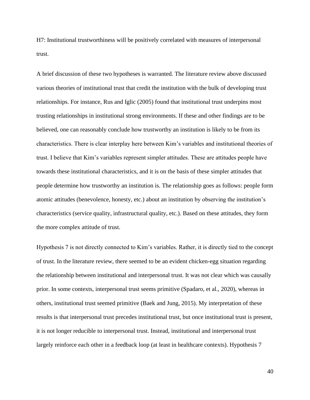H7: Institutional trustworthiness will be positively correlated with measures of interpersonal trust.

A brief discussion of these two hypotheses is warranted. The literature review above discussed various theories of institutional trust that credit the institution with the bulk of developing trust relationships. For instance, Rus and Iglic (2005) found that institutional trust underpins most trusting relationships in institutional strong environments. If these and other findings are to be believed, one can reasonably conclude how trustworthy an institution is likely to be from its characteristics. There is clear interplay here between Kim's variables and institutional theories of trust. I believe that Kim's variables represent simpler attitudes. These are attitudes people have towards these institutional characteristics, and it is on the basis of these simpler attitudes that people determine how trustworthy an institution is. The relationship goes as follows: people form atomic attitudes (benevolence, honesty, etc.) about an institution by observing the institution's characteristics (service quality, infrastructural quality, etc.). Based on these attitudes, they form the more complex attitude of trust.

Hypothesis 7 is not directly connected to Kim's variables. Rather, it is directly tied to the concept of trust. In the literature review, there seemed to be an evident chicken-egg situation regarding the relationship between institutional and interpersonal trust. It was not clear which was causally prior. In some contexts, interpersonal trust seems primitive (Spadaro, et al., 2020), whereas in others, institutional trust seemed primitive (Baek and Jung, 2015). My interpretation of these results is that interpersonal trust precedes institutional trust, but once institutional trust is present, it is not longer reducible to interpersonal trust. Instead, institutional and interpersonal trust largely reinforce each other in a feedback loop (at least in healthcare contexts). Hypothesis 7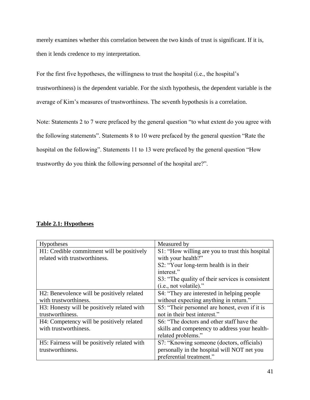merely examines whether this correlation between the two kinds of trust is significant. If it is, then it lends credence to my interpretation.

For the first five hypotheses, the willingness to trust the hospital (i.e., the hospital's trustworthiness) is the dependent variable. For the sixth hypothesis, the dependent variable is the average of Kim's measures of trustworthiness. The seventh hypothesis is a correlation.

Note: Statements 2 to 7 were prefaced by the general question "to what extent do you agree with the following statements". Statements 8 to 10 were prefaced by the general question "Rate the hospital on the following". Statements 11 to 13 were prefaced by the general question "How trustworthy do you think the following personnel of the hospital are?".

## **Table 2.1: Hypotheses**

| <b>Hypotheses</b>                            | Measured by                                      |
|----------------------------------------------|--------------------------------------------------|
| H1: Credible commitment will be positively   | S1: "How willing are you to trust this hospital  |
| related with trustworthiness.                | with your health?"                               |
|                                              | S2: "Your long-term health is in their           |
|                                              | interest."                                       |
|                                              | S3: "The quality of their services is consistent |
|                                              | $(i.e., not volatile).$ "                        |
| H2: Benevolence will be positively related   | S4: "They are interested in helping people       |
| with trustworthiness.                        | without expecting anything in return."           |
| H3: Honesty will be positively related with  | S5: "Their personnel are honest, even if it is   |
| trustworthiness.                             | not in their best interest."                     |
| H4: Competency will be positively related    | S6: "The doctors and other staff have the        |
| with trustworthiness.                        | skills and competency to address your health-    |
|                                              | related problems."                               |
| H5: Fairness will be positively related with | S7: "Knowing someone (doctors, officials)        |
| trustworthiness.                             | personally in the hospital will NOT net you      |
|                                              | preferential treatment."                         |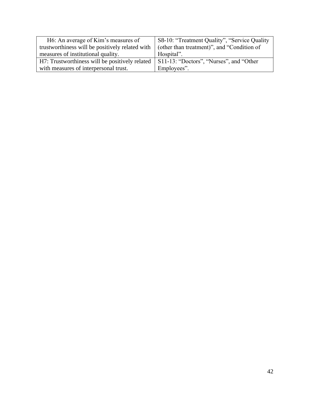| H6: An average of Kim's measures of            | S8-10: "Treatment Quality", "Service Quality" |
|------------------------------------------------|-----------------------------------------------|
| trustworthings will be positively related with | (other than treatment)", and "Condition of    |
| measures of institutional quality.             | Hospital".                                    |
| H7: Trustworthiness will be positively related | S11-13: "Doctors", "Nurses", and "Other       |
| with measures of interpersonal trust.          | Employees".                                   |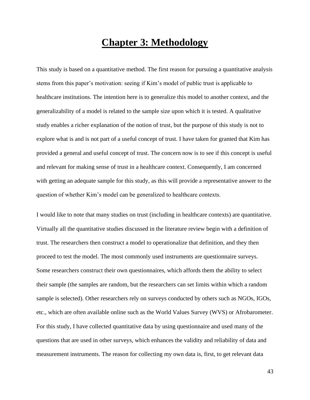# **Chapter 3: Methodology**

This study is based on a quantitative method. The first reason for pursuing a quantitative analysis stems from this paper's motivation: seeing if Kim's model of public trust is applicable to healthcare institutions. The intention here is to generalize this model to another context, and the generalizability of a model is related to the sample size upon which it is tested. A qualitative study enables a richer explanation of the notion of trust, but the purpose of this study is not to explore what is and is not part of a useful concept of trust. I have taken for granted that Kim has provided a general and useful concept of trust. The concern now is to see if this concept is useful and relevant for making sense of trust in a healthcare context. Consequently, I am concerned with getting an adequate sample for this study, as this will provide a representative answer to the question of whether Kim's model can be generalized to healthcare contexts.

I would like to note that many studies on trust (including in healthcare contexts) are quantitative. Virtually all the quantitative studies discussed in the literature review begin with a definition of trust. The researchers then construct a model to operationalize that definition, and they then proceed to test the model. The most commonly used instruments are questionnaire surveys. Some researchers construct their own questionnaires, which affords them the ability to select their sample (the samples are random, but the researchers can set limits within which a random sample is selected). Other researchers rely on surveys conducted by others such as NGOs, IGOs, etc., which are often available online such as the World Values Survey (WVS) or Afrobarometer. For this study, I have collected quantitative data by using questionnaire and used many of the questions that are used in other surveys, which enhances the validity and reliability of data and measurement instruments. The reason for collecting my own data is, first, to get relevant data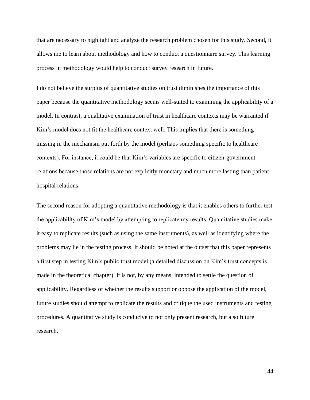that are necessary to highlight and analyze the research problem chosen for this study. Second, it allows me to learn about methodology and how to conduct a questionnaire survey. This learning process in methodology would help to conduct survey research in future.

I do not believe the surplus of quantitative studies on trust diminishes the importance of this paper because the quantitative methodology seems well-suited to examining the applicability of a model. In contrast, a qualitative examination of trust in healthcare contexts may be warranted if Kim's model does not fit the healthcare context well. This implies that there is something missing in the mechanism put forth by the model (perhaps something specific to healthcare contexts). For instance, it could be that Kim's variables are specific to citizen-government relations because those relations are not explicitly monetary and much more lasting than patienthospital relations.

The second reason for adopting a quantitative methodology is that it enables others to further test the applicability of Kim's model by attempting to replicate my results. Quantitative studies make it easy to replicate results (such as using the same instruments), as well as identifying where the problems may lie in the testing process. It should be noted at the outset that this paper represents a first step in testing Kim's public trust model (a detailed discussion on Kim's trust concepts is made in the theoretical chapter). It is not, by any means, intended to settle the question of applicability. Regardless of whether the results support or oppose the application of the model, future studies should attempt to replicate the results and critique the used instruments and testing procedures. A quantitative study is conducive to not only present research, but also future research.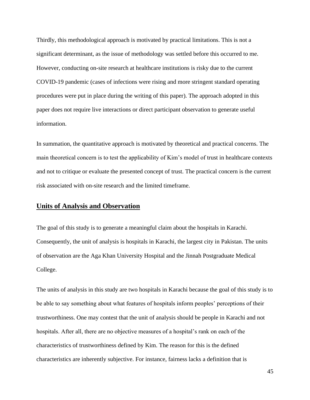Thirdly, this methodological approach is motivated by practical limitations. This is not a significant determinant, as the issue of methodology was settled before this occurred to me. However, conducting on-site research at healthcare institutions is risky due to the current COVID-19 pandemic (cases of infections were rising and more stringent standard operating procedures were put in place during the writing of this paper). The approach adopted in this paper does not require live interactions or direct participant observation to generate useful information.

In summation, the quantitative approach is motivated by theoretical and practical concerns. The main theoretical concern is to test the applicability of Kim's model of trust in healthcare contexts and not to critique or evaluate the presented concept of trust. The practical concern is the current risk associated with on-site research and the limited timeframe.

## **Units of Analysis and Observation**

The goal of this study is to generate a meaningful claim about the hospitals in Karachi. Consequently, the unit of analysis is hospitals in Karachi, the largest city in Pakistan. The units of observation are the Aga Khan University Hospital and the Jinnah Postgraduate Medical College.

The units of analysis in this study are two hospitals in Karachi because the goal of this study is to be able to say something about what features of hospitals inform peoples' perceptions of their trustworthiness. One may contest that the unit of analysis should be people in Karachi and not hospitals. After all, there are no objective measures of a hospital's rank on each of the characteristics of trustworthiness defined by Kim. The reason for this is the defined characteristics are inherently subjective. For instance, fairness lacks a definition that is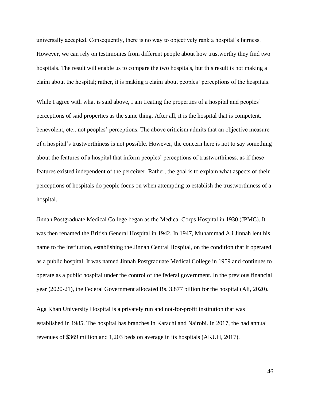universally accepted. Consequently, there is no way to objectively rank a hospital's fairness. However, we can rely on testimonies from different people about how trustworthy they find two hospitals. The result will enable us to compare the two hospitals, but this result is not making a claim about the hospital; rather, it is making a claim about peoples' perceptions of the hospitals.

While I agree with what is said above, I am treating the properties of a hospital and peoples' perceptions of said properties as the same thing. After all, it is the hospital that is competent, benevolent, etc., not peoples' perceptions. The above criticism admits that an objective measure of a hospital's trustworthiness is not possible. However, the concern here is not to say something about the features of a hospital that inform peoples' perceptions of trustworthiness, as if these features existed independent of the perceiver. Rather, the goal is to explain what aspects of their perceptions of hospitals do people focus on when attempting to establish the trustworthiness of a hospital.

Jinnah Postgraduate Medical College began as the Medical Corps Hospital in 1930 (JPMC). It was then renamed the British General Hospital in 1942. In 1947, Muhammad Ali Jinnah lent his name to the institution, establishing the Jinnah Central Hospital, on the condition that it operated as a public hospital. It was named Jinnah Postgraduate Medical College in 1959 and continues to operate as a public hospital under the control of the federal government. In the previous financial year (2020-21), the Federal Government allocated Rs. 3.877 billion for the hospital (Ali, 2020).

Aga Khan University Hospital is a privately run and not-for-profit institution that was established in 1985. The hospital has branches in Karachi and Nairobi. In 2017, the had annual revenues of \$369 million and 1,203 beds on average in its hospitals (AKUH, 2017).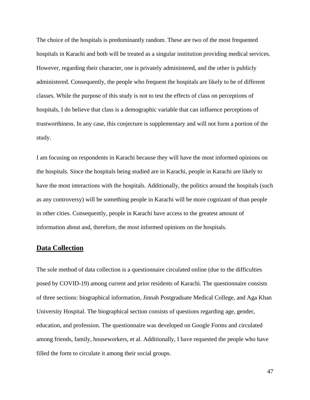The choice of the hospitals is predominantly random. These are two of the most frequented hospitals in Karachi and both will be treated as a singular institution providing medical services. However, regarding their character, one is privately administered, and the other is publicly administered. Consequently, the people who frequent the hospitals are likely to be of different classes. While the purpose of this study is not to test the effects of class on perceptions of hospitals, I do believe that class is a demographic variable that can influence perceptions of trustworthiness. In any case, this conjecture is supplementary and will not form a portion of the study.

I am focusing on respondents in Karachi because they will have the most informed opinions on the hospitals. Since the hospitals being studied are in Karachi, people in Karachi are likely to have the most interactions with the hospitals. Additionally, the politics around the hospitals (such as any controversy) will be something people in Karachi will be more cognizant of than people in other cities. Consequently, people in Karachi have access to the greatest amount of information about and, therefore, the most informed opinions on the hospitals.

## **Data Collection**

The sole method of data collection is a questionnaire circulated online (due to the difficulties posed by COVID-19) among current and prior residents of Karachi. The questionnaire consists of three sections: biographical information, Jinnah Postgraduate Medical College, and Aga Khan University Hospital. The biographical section consists of questions regarding age, gender, education, and profession. The questionnaire was developed on Google Forms and circulated among friends, family, houseworkers, et al. Additionally, I have requested the people who have filled the form to circulate it among their social groups.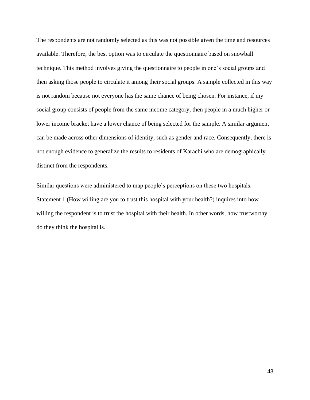The respondents are not randomly selected as this was not possible given the time and resources available. Therefore, the best option was to circulate the questionnaire based on snowball technique. This method involves giving the questionnaire to people in one's social groups and then asking those people to circulate it among their social groups. A sample collected in this way is not random because not everyone has the same chance of being chosen. For instance, if my social group consists of people from the same income category, then people in a much higher or lower income bracket have a lower chance of being selected for the sample. A similar argument can be made across other dimensions of identity, such as gender and race. Consequently, there is not enough evidence to generalize the results to residents of Karachi who are demographically distinct from the respondents.

Similar questions were administered to map people's perceptions on these two hospitals. Statement 1 (How willing are you to trust this hospital with your health?) inquires into how willing the respondent is to trust the hospital with their health. In other words, how trustworthy do they think the hospital is.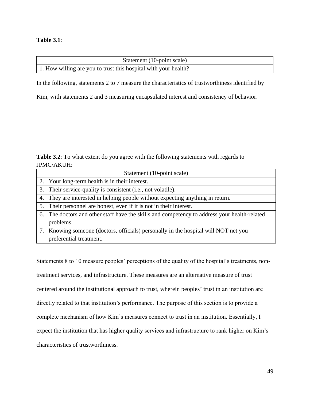### **Table 3.1**:

| Statement (10-point scale)                                      |  |
|-----------------------------------------------------------------|--|
| 1. How willing are you to trust this hospital with your health? |  |

In the following, statements 2 to 7 measure the characteristics of trustworthiness identified by

Kim, with statements 2 and 3 measuring encapsulated interest and consistency of behavior.

**Table 3.2**: To what extent do you agree with the following statements with regards to JPMC/AKUH:

| Statement (10-point scale)                                                                   |
|----------------------------------------------------------------------------------------------|
| 2. Your long-term health is in their interest.                                               |
| 3. Their service-quality is consistent (i.e., not volatile).                                 |
| 4. They are interested in helping people without expecting anything in return.               |
| 5. Their personnel are honest, even if it is not in their interest.                          |
| 6. The doctors and other staff have the skills and competency to address your health-related |
| problems.                                                                                    |
| 7. Knowing someone (doctors, officials) personally in the hospital will NOT net you          |
| preferential treatment.                                                                      |

Statements 8 to 10 measure peoples' perceptions of the quality of the hospital's treatments, nontreatment services, and infrastructure. These measures are an alternative measure of trust centered around the institutional approach to trust, wherein peoples' trust in an institution are directly related to that institution's performance. The purpose of this section is to provide a complete mechanism of how Kim's measures connect to trust in an institution. Essentially, I expect the institution that has higher quality services and infrastructure to rank higher on Kim's characteristics of trustworthiness.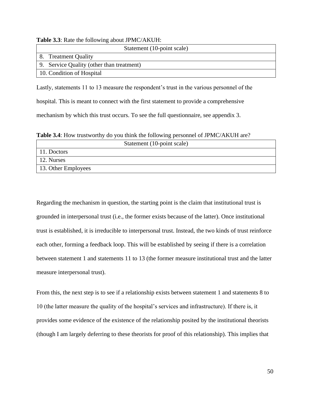|  |  |  |  |  | <b>Table 3.3:</b> Rate the following about JPMC/AKUH: |
|--|--|--|--|--|-------------------------------------------------------|
|--|--|--|--|--|-------------------------------------------------------|

|    | Statement (10-point scale)                |
|----|-------------------------------------------|
| 8. | <b>Treatment Quality</b>                  |
|    | 9. Service Quality (other than treatment) |
|    | 10. Condition of Hospital                 |

Lastly, statements 11 to 13 measure the respondent's trust in the various personnel of the hospital. This is meant to connect with the first statement to provide a comprehensive mechanism by which this trust occurs. To see the full questionnaire, see appendix 3.

**Table 3.4**: How trustworthy do you think the following personnel of JPMC/AKUH are?

|                     | Statement (10-point scale) |
|---------------------|----------------------------|
| 11. Doctors         |                            |
| 12. Nurses          |                            |
| 13. Other Employees |                            |

Regarding the mechanism in question, the starting point is the claim that institutional trust is grounded in interpersonal trust (i.e., the former exists because of the latter). Once institutional trust is established, it is irreducible to interpersonal trust. Instead, the two kinds of trust reinforce each other, forming a feedback loop. This will be established by seeing if there is a correlation between statement 1 and statements 11 to 13 (the former measure institutional trust and the latter measure interpersonal trust).

From this, the next step is to see if a relationship exists between statement 1 and statements 8 to 10 (the latter measure the quality of the hospital's services and infrastructure). If there is, it provides some evidence of the existence of the relationship posited by the institutional theorists (though I am largely deferring to these theorists for proof of this relationship). This implies that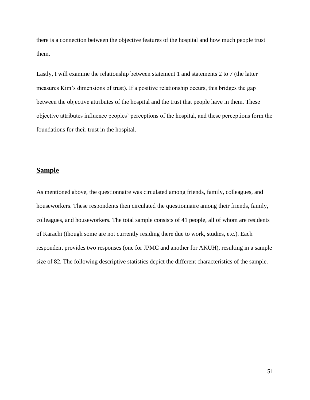there is a connection between the objective features of the hospital and how much people trust them.

Lastly, I will examine the relationship between statement 1 and statements 2 to 7 (the latter measures Kim's dimensions of trust). If a positive relationship occurs, this bridges the gap between the objective attributes of the hospital and the trust that people have in them. These objective attributes influence peoples' perceptions of the hospital, and these perceptions form the foundations for their trust in the hospital.

## **Sample**

As mentioned above, the questionnaire was circulated among friends, family, colleagues, and houseworkers. These respondents then circulated the questionnaire among their friends, family, colleagues, and houseworkers. The total sample consists of 41 people, all of whom are residents of Karachi (though some are not currently residing there due to work, studies, etc.). Each respondent provides two responses (one for JPMC and another for AKUH), resulting in a sample size of 82. The following descriptive statistics depict the different characteristics of the sample.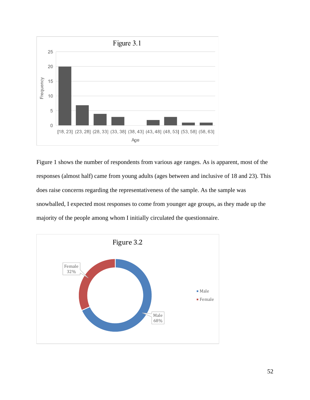

Figure 1 shows the number of respondents from various age ranges. As is apparent, most of the responses (almost half) came from young adults (ages between and inclusive of 18 and 23). This does raise concerns regarding the representativeness of the sample. As the sample was snowballed, I expected most responses to come from younger age groups, as they made up the majority of the people among whom I initially circulated the questionnaire.

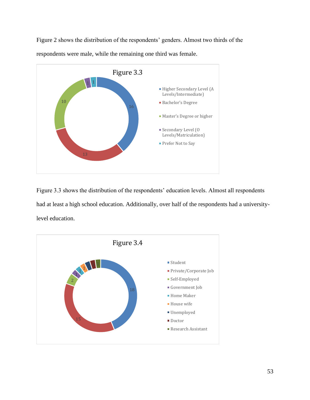Figure 2 shows the distribution of the respondents' genders. Almost two thirds of the respondents were male, while the remaining one third was female.



Figure 3.3 shows the distribution of the respondents' education levels. Almost all respondents had at least a high school education. Additionally, over half of the respondents had a universitylevel education.

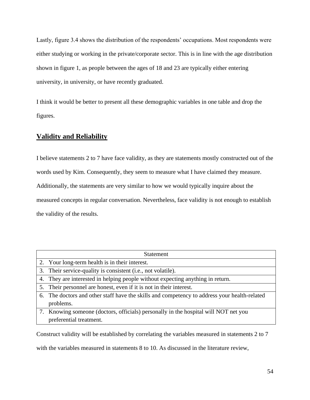Lastly, figure 3.4 shows the distribution of the respondents' occupations. Most respondents were either studying or working in the private/corporate sector. This is in line with the age distribution shown in figure 1, as people between the ages of 18 and 23 are typically either entering university, in university, or have recently graduated.

I think it would be better to present all these demographic variables in one table and drop the figures.

## **Validity and Reliability**

I believe statements 2 to 7 have face validity, as they are statements mostly constructed out of the words used by Kim. Consequently, they seem to measure what I have claimed they measure. Additionally, the statements are very similar to how we would typically inquire about the measured concepts in regular conversation. Nevertheless, face validity is not enough to establish the validity of the results.

| <b>Statement</b>                                                                             |
|----------------------------------------------------------------------------------------------|
| 2. Your long-term health is in their interest.                                               |
| 3. Their service-quality is consistent (i.e., not volatile).                                 |
| 4. They are interested in helping people without expecting anything in return.               |
| 5. Their personnel are honest, even if it is not in their interest.                          |
| 6. The doctors and other staff have the skills and competency to address your health-related |
| problems.                                                                                    |
| 7. Knowing someone (doctors, officials) personally in the hospital will NOT net you          |
| preferential treatment.                                                                      |

Construct validity will be established by correlating the variables measured in statements 2 to 7

with the variables measured in statements 8 to 10. As discussed in the literature review,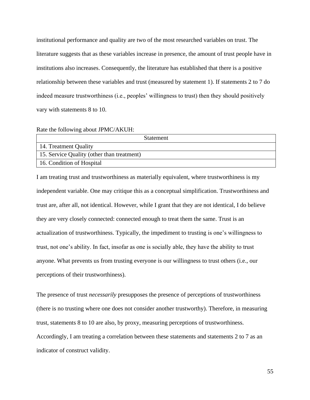institutional performance and quality are two of the most researched variables on trust. The literature suggests that as these variables increase in presence, the amount of trust people have in institutions also increases. Consequently, the literature has established that there is a positive relationship between these variables and trust (measured by statement 1). If statements 2 to 7 do indeed measure trustworthiness (i.e., peoples' willingness to trust) then they should positively vary with statements 8 to 10.

Rate the following about JPMC/AKUH:

| <b>Statement</b>                           |
|--------------------------------------------|
| 14. Treatment Quality                      |
| 15. Service Quality (other than treatment) |
| 16. Condition of Hospital                  |

I am treating trust and trustworthiness as materially equivalent, where trustworthiness is my independent variable. One may critique this as a conceptual simplification. Trustworthiness and trust are, after all, not identical. However, while I grant that they are not identical, I do believe they are very closely connected: connected enough to treat them the same. Trust is an actualization of trustworthiness. Typically, the impediment to trusting is one's willingness to trust, not one's ability. In fact, insofar as one is socially able, they have the ability to trust anyone. What prevents us from trusting everyone is our willingness to trust others (i.e., our perceptions of their trustworthiness).

The presence of trust *necessarily* presupposes the presence of perceptions of trustworthiness (there is no trusting where one does not consider another trustworthy). Therefore, in measuring trust, statements 8 to 10 are also, by proxy, measuring perceptions of trustworthiness. Accordingly, I am treating a correlation between these statements and statements 2 to 7 as an indicator of construct validity.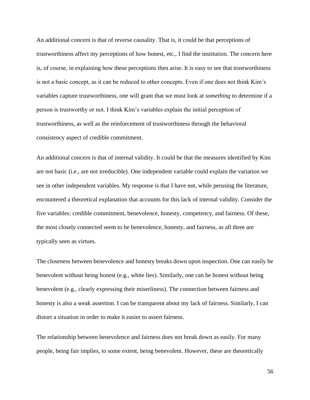An additional concern is that of reverse causality. That is, it could be that perceptions of trustworthiness affect my perceptions of how honest, etc., I find the institution. The concern here is, of course, in explaining how these perceptions then arise. It is easy to see that trustworthiness is not a basic concept, as it can be reduced to other concepts. Even if one does not think Kim's variables capture trustworthiness, one will grant that we must look at *something* to determine if a person is trustworthy or not. I think Kim's variables explain the initial perception of trustworthiness, as well as the reinforcement of trustworthiness through the behavioral consistency aspect of credible commitment.

An additional concern is that of internal validity. It could be that the measures identified by Kim are not basic (i.e., are not irreducible). One independent variable could explain the variation we see in other independent variables. My response is that I have not, while perusing the literature, encountered a theoretical explanation that accounts for this lack of internal validity. Consider the five variables: credible commitment, benevolence, honesty, competency, and fairness. Of these, the most closely connected seem to be benevolence, honesty, and fairness, as all three are typically seen as virtues.

The closeness between benevolence and honesty breaks down upon inspection. One can easily be benevolent without being honest (e.g., white lies). Similarly, one can be honest without being benevolent (e.g., clearly expressing their miserliness). The connection between fairness and honesty is also a weak assertion. I can be transparent about my lack of fairness. Similarly, I can distort a situation in order to make it easier to assert fairness.

The relationship between benevolence and fairness does not break down as easily. For many people, being fair implies, to some extent, being benevolent. However, these are theoretically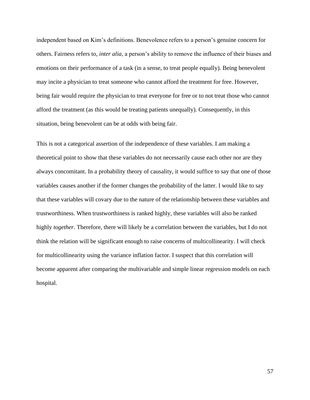independent based on Kim's definitions. Benevolence refers to a person's genuine concern for others. Fairness refers to, *inter alia*, a person's ability to remove the influence of their biases and emotions on their performance of a task (in a sense, to treat people equally). Being benevolent may incite a physician to treat someone who cannot afford the treatment for free. However, being fair would require the physician to treat everyone for free or to not treat those who cannot afford the treatment (as this would be treating patients unequally). Consequently, in this situation, being benevolent can be at odds with being fair.

This is not a categorical assertion of the independence of these variables. I am making a theoretical point to show that these variables do not necessarily cause each other nor are they always concomitant. In a probability theory of causality, it would suffice to say that one of those variables causes another if the former changes the probability of the latter. I would like to say that these variables will covary due to the nature of the relationship between these variables and trustworthiness. When trustworthiness is ranked highly, these variables will also be ranked highly *together*. Therefore, there will likely be a correlation between the variables, but I do not think the relation will be significant enough to raise concerns of multicollinearity. I will check for multicollinearity using the variance inflation factor. I suspect that this correlation will become apparent after comparing the multivariable and simple linear regression models on each hospital.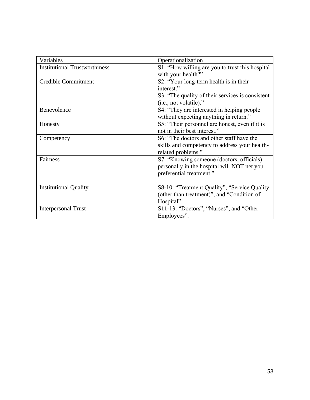| Variables                            | Operationalization                               |
|--------------------------------------|--------------------------------------------------|
| <b>Institutional Trustworthiness</b> | S1: "How willing are you to trust this hospital  |
|                                      | with your health?"                               |
| <b>Credible Commitment</b>           | S2: "Your long-term health is in their           |
|                                      | interest."                                       |
|                                      | S3: "The quality of their services is consistent |
|                                      | (i.e., not volatile)."                           |
| Benevolence                          | S4: "They are interested in helping people       |
|                                      | without expecting anything in return."           |
| Honesty                              | S5: "Their personnel are honest, even if it is   |
|                                      | not in their best interest."                     |
| Competency                           | S6: "The doctors and other staff have the        |
|                                      | skills and competency to address your health-    |
|                                      | related problems."                               |
| Fairness                             | S7: "Knowing someone (doctors, officials)        |
|                                      | personally in the hospital will NOT net you      |
|                                      | preferential treatment."                         |
|                                      |                                                  |
| <b>Institutional Quality</b>         | S8-10: "Treatment Quality", "Service Quality     |
|                                      | (other than treatment)", and "Condition of       |
|                                      | Hospital".                                       |
| <b>Interpersonal Trust</b>           | S11-13: "Doctors", "Nurses", and "Other          |
|                                      | Employees".                                      |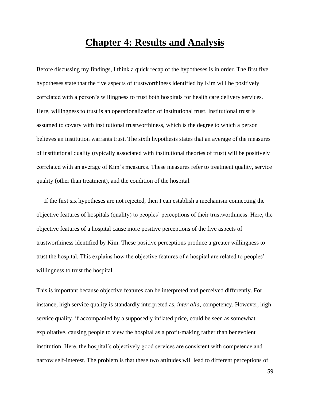## **Chapter 4: Results and Analysis**

Before discussing my findings, I think a quick recap of the hypotheses is in order. The first five hypotheses state that the five aspects of trustworthiness identified by Kim will be positively correlated with a person's willingness to trust both hospitals for health care delivery services. Here, willingness to trust is an operationalization of institutional trust. Institutional trust is assumed to covary with institutional trustworthiness, which is the degree to which a person believes an institution warrants trust. The sixth hypothesis states that an average of the measures of institutional quality (typically associated with institutional theories of trust) will be positively correlated with an average of Kim's measures. These measures refer to treatment quality, service quality (other than treatment), and the condition of the hospital.

 If the first six hypotheses are not rejected, then I can establish a mechanism connecting the objective features of hospitals (quality) to peoples' perceptions of their trustworthiness. Here, the objective features of a hospital cause more positive perceptions of the five aspects of trustworthiness identified by Kim. These positive perceptions produce a greater willingness to trust the hospital. This explains how the objective features of a hospital are related to peoples' willingness to trust the hospital.

This is important because objective features can be interpreted and perceived differently. For instance, high service quality is standardly interpreted as, *inter alia*, competency. However, high service quality, if accompanied by a supposedly inflated price, could be seen as somewhat exploitative, causing people to view the hospital as a profit-making rather than benevolent institution. Here, the hospital's objectively good services are consistent with competence and narrow self-interest. The problem is that these two attitudes will lead to different perceptions of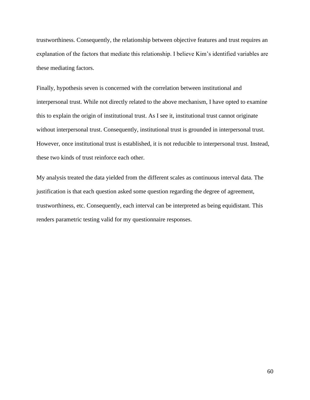trustworthiness. Consequently, the relationship between objective features and trust requires an explanation of the factors that mediate this relationship. I believe Kim's identified variables are these mediating factors.

Finally, hypothesis seven is concerned with the correlation between institutional and interpersonal trust. While not directly related to the above mechanism, I have opted to examine this to explain the origin of institutional trust. As I see it, institutional trust cannot originate without interpersonal trust. Consequently, institutional trust is grounded in interpersonal trust. However, once institutional trust is established, it is not reducible to interpersonal trust. Instead, these two kinds of trust reinforce each other.

My analysis treated the data yielded from the different scales as continuous interval data. The justification is that each question asked some question regarding the degree of agreement, trustworthiness, etc. Consequently, each interval can be interpreted as being equidistant. This renders parametric testing valid for my questionnaire responses.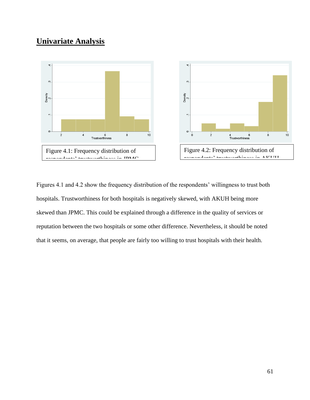## **Univariate Analysis**



Figures 4.1 and 4.2 show the frequency distribution of the respondents' willingness to trust both hospitals. Trustworthiness for both hospitals is negatively skewed, with AKUH being more skewed than JPMC. This could be explained through a difference in the quality of services or reputation between the two hospitals or some other difference. Nevertheless, it should be noted that it seems, on average, that people are fairly too willing to trust hospitals with their health.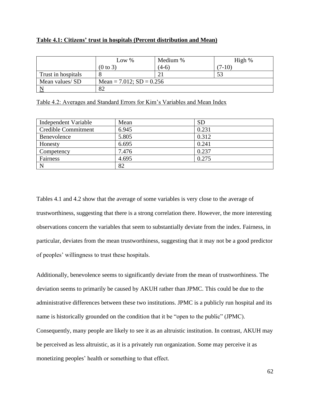### **Table 4.1: Citizens' trust in hospitals (Percent distribution and Mean)**

|                         | Low $%$                       | Medium % | High %   |
|-------------------------|-------------------------------|----------|----------|
|                         | $(0 \text{ to } 3)$           | $(4-6)$  | $(7-10)$ |
| Trust in hospitals      |                               |          |          |
| Mean values/ SD         | Mean = $7.012$ ; SD = $0.256$ |          |          |
| $\overline{\mathbf{N}}$ | 82                            |          |          |

| Table 4.2: Averages and Standard Errors for Kim's Variables and Mean Index |
|----------------------------------------------------------------------------|
|----------------------------------------------------------------------------|

| Independent Variable | Mean  | <b>SD</b> |
|----------------------|-------|-----------|
| Credible Commitment  | 6.945 | 0.231     |
| Benevolence          | 5.805 | 0.312     |
| Honesty              | 6.695 | 0.241     |
| Competency           | 7.476 | 0.237     |
| Fairness             | 4.695 | 0.275     |
| $\mathbf N$          | 82    |           |

Tables 4.1 and 4.2 show that the average of some variables is very close to the average of trustworthiness, suggesting that there is a strong correlation there. However, the more interesting observations concern the variables that seem to substantially deviate from the index. Fairness, in particular, deviates from the mean trustworthiness, suggesting that it may not be a good predictor of peoples' willingness to trust these hospitals.

Additionally, benevolence seems to significantly deviate from the mean of trustworthiness. The deviation seems to primarily be caused by AKUH rather than JPMC. This could be due to the administrative differences between these two institutions. JPMC is a publicly run hospital and its name is historically grounded on the condition that it be "open to the public" (JPMC). Consequently, many people are likely to see it as an altruistic institution. In contrast, AKUH may be perceived as less altruistic, as it is a privately run organization. Some may perceive it as monetizing peoples' health or something to that effect.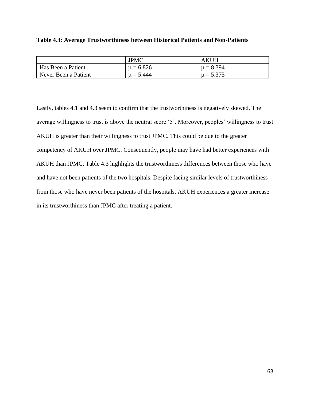### **Table 4.3: Average Trustworthiness between Historical Patients and Non-Patients**

|                      | <b>JPMC</b>   | <b>AKUH</b>   |
|----------------------|---------------|---------------|
| Has Been a Patient   | $\mu = 6.826$ | $\mu = 8.394$ |
| Never Been a Patient | $\mu = 5.444$ | $\mu = 5.375$ |

Lastly, tables 4.1 and 4.3 seem to confirm that the trustworthiness is negatively skewed. The average willingness to trust is above the neutral score '5'. Moreover, peoples' willingness to trust AKUH is greater than their willingness to trust JPMC. This could be due to the greater competency of AKUH over JPMC. Consequently, people may have had better experiences with AKUH than JPMC. Table 4.3 highlights the trustworthiness differences between those who have and have not been patients of the two hospitals. Despite facing similar levels of trustworthiness from those who have never been patients of the hospitals, AKUH experiences a greater increase in its trustworthiness than JPMC after treating a patient.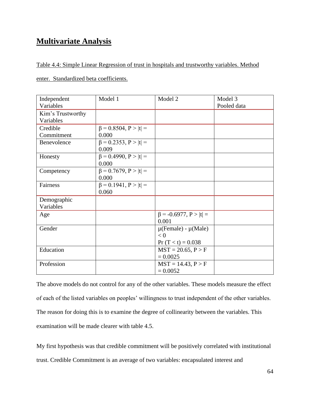## **Multivariate Analysis**

Table 4.4: Simple Linear Regression of trust in hospitals and trustworthy variables. Method

enter. Standardized beta coefficients.

| Independent       | Model 1                                 | Model 2                                                     | Model 3     |
|-------------------|-----------------------------------------|-------------------------------------------------------------|-------------|
| Variables         |                                         |                                                             | Pooled data |
| Kim's Trustworthy |                                         |                                                             |             |
| Variables         |                                         |                                                             |             |
| Credible          | $\beta = 0.8504, P >  t  =$             |                                                             |             |
| Commitment        | 0.000                                   |                                                             |             |
| Benevolence       | $\beta = 0.2353$ , $P >  t $<br>0.009   |                                                             |             |
| Honesty           | $\beta = 0.4990, P >  t  =$<br>0.000    |                                                             |             |
| Competency        | $\beta = 0.7679$ , $P >  t  =$<br>0.000 |                                                             |             |
| Fairness          | $\beta = 0.1941, P >  t  =$<br>0.060    |                                                             |             |
| Demographic       |                                         |                                                             |             |
| Variables         |                                         |                                                             |             |
| Age               |                                         | $\beta$ = -0.6977, P >  t  =<br>0.001                       |             |
| Gender            |                                         | $\mu$ (Female) - $\mu$ (Male)<br>< 0<br>$Pr(T < t) = 0.038$ |             |
| Education         |                                         | $MST = 20.65, P > F$<br>$= 0.0025$                          |             |
| Profession        |                                         | $MST = 14.43, P > F$<br>$= 0.0052$                          |             |

The above models do not control for any of the other variables. These models measure the effect of each of the listed variables on peoples' willingness to trust independent of the other variables. The reason for doing this is to examine the degree of collinearity between the variables. This examination will be made clearer with table 4.5.

My first hypothesis was that credible commitment will be positively correlated with institutional trust. Credible Commitment is an average of two variables: encapsulated interest and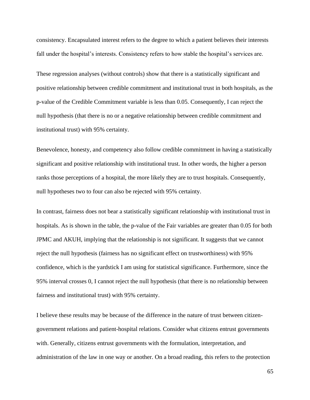consistency. Encapsulated interest refers to the degree to which a patient believes their interests fall under the hospital's interests. Consistency refers to how stable the hospital's services are.

These regression analyses (without controls) show that there is a statistically significant and positive relationship between credible commitment and institutional trust in both hospitals, as the p-value of the Credible Commitment variable is less than 0.05. Consequently, I can reject the null hypothesis (that there is no or a negative relationship between credible commitment and institutional trust) with 95% certainty.

Benevolence, honesty, and competency also follow credible commitment in having a statistically significant and positive relationship with institutional trust. In other words, the higher a person ranks those perceptions of a hospital, the more likely they are to trust hospitals. Consequently, null hypotheses two to four can also be rejected with 95% certainty.

In contrast, fairness does not bear a statistically significant relationship with institutional trust in hospitals. As is shown in the table, the p-value of the Fair variables are greater than 0.05 for both JPMC and AKUH, implying that the relationship is not significant. It suggests that we cannot reject the null hypothesis (fairness has no significant effect on trustworthiness) with 95% confidence, which is the yardstick I am using for statistical significance. Furthermore, since the 95% interval crosses 0, I cannot reject the null hypothesis (that there is no relationship between fairness and institutional trust) with 95% certainty.

I believe these results may be because of the difference in the nature of trust between citizengovernment relations and patient-hospital relations. Consider what citizens entrust governments with. Generally, citizens entrust governments with the formulation, interpretation, and administration of the law in one way or another. On a broad reading, this refers to the protection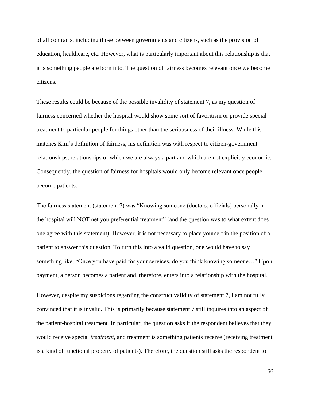of all contracts, including those between governments and citizens, such as the provision of education, healthcare, etc. However, what is particularly important about this relationship is that it is something people are born into. The question of fairness becomes relevant once we become citizens.

These results could be because of the possible invalidity of statement 7, as my question of fairness concerned whether the hospital would show some sort of favoritism or provide special treatment to particular people for things other than the seriousness of their illness. While this matches Kim's definition of fairness, his definition was with respect to citizen-government relationships, relationships of which we are always a part and which are not explicitly economic. Consequently, the question of fairness for hospitals would only become relevant once people become patients.

The fairness statement (statement 7) was "Knowing someone (doctors, officials) personally in the hospital will NOT net you preferential treatment" (and the question was to what extent does one agree with this statement). However, it is not necessary to place yourself in the position of a patient to answer this question. To turn this into a valid question, one would have to say something like, "Once you have paid for your services, do you think knowing someone…" Upon payment, a person becomes a patient and, therefore, enters into a relationship with the hospital.

However, despite my suspicions regarding the construct validity of statement 7, I am not fully convinced that it is invalid. This is primarily because statement 7 still inquires into an aspect of the patient-hospital treatment. In particular, the question asks if the respondent believes that they would receive special *treatment*, and treatment is something patients receive (receiving treatment is a kind of functional property of patients). Therefore, the question still asks the respondent to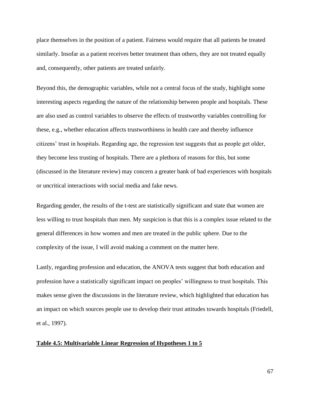place themselves in the position of a patient. Fairness would require that all patients be treated similarly. Insofar as a patient receives better treatment than others, they are not treated equally and, consequently, other patients are treated unfairly.

Beyond this, the demographic variables, while not a central focus of the study, highlight some interesting aspects regarding the nature of the relationship between people and hospitals. These are also used as control variables to observe the effects of trustworthy variables controlling for these, e.g., whether education affects trustworthiness in health care and thereby influence citizens' trust in hospitals. Regarding age, the regression test suggests that as people get older, they become less trusting of hospitals. There are a plethora of reasons for this, but some (discussed in the literature review) may concern a greater bank of bad experiences with hospitals or uncritical interactions with social media and fake news.

Regarding gender, the results of the t-test are statistically significant and state that women are less willing to trust hospitals than men. My suspicion is that this is a complex issue related to the general differences in how women and men are treated in the public sphere. Due to the complexity of the issue, I will avoid making a comment on the matter here.

Lastly, regarding profession and education, the ANOVA tests suggest that both education and profession have a statistically significant impact on peoples' willingness to trust hospitals. This makes sense given the discussions in the literature review, which highlighted that education has an impact on which sources people use to develop their trust attitudes towards hospitals (Friedell, et al., 1997).

#### **Table 4.5: Multivariable Linear Regression of Hypotheses 1 to 5**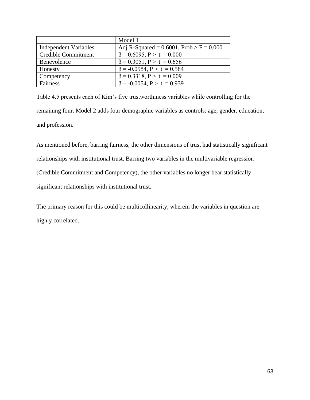|                       | Model 1                                       |
|-----------------------|-----------------------------------------------|
| Independent Variables | Adj R-Squared = $0.6001$ , Prob > F = $0.000$ |
| Credible Commitment   | $\beta = 0.6095$ , $P >  t  = 0.000$          |
| Benevolence           | $\beta = 0.3051$ , $P >  t  = 0.656$          |
| Honesty               | $\beta$ = -0.0584, P >  t  = 0.584            |
| Competency            | $\beta = 0.3318$ , $P >  t  = 0.009$          |
| Fairness              | $\beta$ = -0.0054, P >  t  = 0.939            |

Table 4.5 presents each of Kim's five trustworthiness variables while controlling for the remaining four. Model 2 adds four demographic variables as controls: age, gender, education, and profession.

As mentioned before, barring fairness, the other dimensions of trust had statistically significant relationships with institutional trust. Barring two variables in the multivariable regression (Credible Commitment and Competency), the other variables no longer bear statistically significant relationships with institutional trust.

The primary reason for this could be multicollinearity, wherein the variables in question are highly correlated.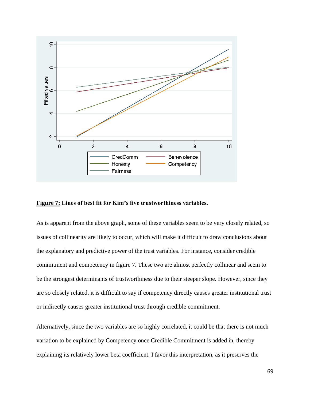

## **Figure 7: Lines of best fit for Kim's five trustworthiness variables.**

As is apparent from the above graph, some of these variables seem to be very closely related, so issues of collinearity are likely to occur, which will make it difficult to draw conclusions about the explanatory and predictive power of the trust variables. For instance, consider credible commitment and competency in figure 7. These two are almost perfectly collinear and seem to be the strongest determinants of trustworthiness due to their steeper slope. However, since they are so closely related, it is difficult to say if competency directly causes greater institutional trust or indirectly causes greater institutional trust through credible commitment.

Alternatively, since the two variables are so highly correlated, it could be that there is not much variation to be explained by Competency once Credible Commitment is added in, thereby explaining its relatively lower beta coefficient. I favor this interpretation, as it preserves the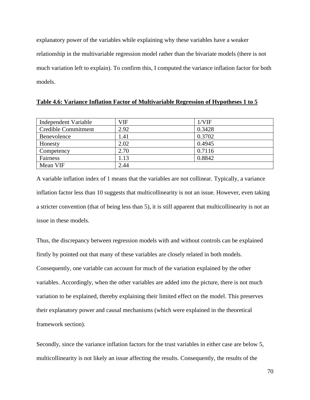explanatory power of the variables while explaining why these variables have a weaker relationship in the multivariable regression model rather than the bivariate models (there is not much variation left to explain). To confirm this, I computed the variance inflation factor for both models.

| Independent Variable       | VIF  | 1/VIF  |
|----------------------------|------|--------|
| <b>Credible Commitment</b> | 2.92 | 0.3428 |
| Benevolence                | 1.41 | 0.3702 |
| Honesty                    | 2.02 | 0.4945 |
| Competency                 | 2.70 | 0.7116 |
| Fairness                   | 1.13 | 0.8842 |
| Mean VIF                   | 2.44 |        |

A variable inflation index of 1 means that the variables are not collinear. Typically, a variance inflation factor less than 10 suggests that multicollinearity is not an issue. However, even taking a stricter convention (that of being less than 5), it is still apparent that multicollinearity is not an issue in these models.

Thus, the discrepancy between regression models with and without controls can be explained firstly by pointed out that many of these variables are closely related in both models. Consequently, one variable can account for much of the variation explained by the other variables. Accordingly, when the other variables are added into the picture, there is not much variation to be explained, thereby explaining their limited effect on the model. This preserves their explanatory power and causal mechanisms (which were explained in the theoretical framework section).

Secondly, since the variance inflation factors for the trust variables in either case are below 5, multicollinearity is not likely an issue affecting the results. Consequently, the results of the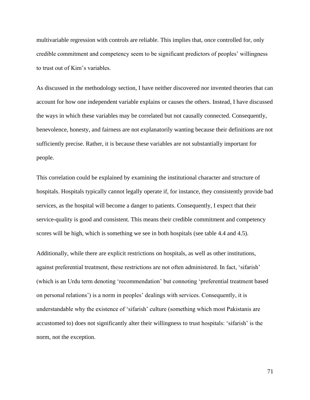multivariable regression with controls are reliable. This implies that, once controlled for, only credible commitment and competency seem to be significant predictors of peoples' willingness to trust out of Kim's variables.

As discussed in the methodology section, I have neither discovered nor invented theories that can account for how one independent variable explains or causes the others. Instead, I have discussed the ways in which these variables may be correlated but not causally connected. Consequently, benevolence, honesty, and fairness are not explanatorily wanting because their definitions are not sufficiently precise. Rather, it is because these variables are not substantially important for people.

This correlation could be explained by examining the institutional character and structure of hospitals. Hospitals typically cannot legally operate if, for instance, they consistently provide bad services, as the hospital will become a danger to patients. Consequently, I expect that their service-quality is good and consistent. This means their credible commitment and competency scores will be high, which is something we see in both hospitals (see table 4.4 and 4.5).

Additionally, while there are explicit restrictions on hospitals, as well as other institutions, against preferential treatment, these restrictions are not often administered. In fact, 'sifarish' (which is an Urdu term denoting 'recommendation' but connoting 'preferential treatment based on personal relations') is a norm in peoples' dealings with services. Consequently, it is understandable why the existence of 'sifarish' culture (something which most Pakistanis are accustomed to) does not significantly alter their willingness to trust hospitals: 'sifarish' is the norm, not the exception.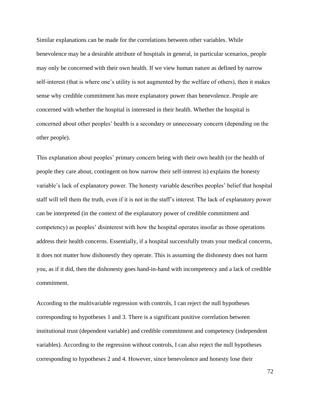Similar explanations can be made for the correlations between other variables. While benevolence may be a desirable attribute of hospitals in general, in particular scenarios, people may only be concerned with their own health. If we view human nature as defined by narrow self-interest (that is where one's utility is not augmented by the welfare of others), then it makes sense why credible commitment has more explanatory power than benevolence. People are concerned with whether the hospital is interested in their health. Whether the hospital is concerned about other peoples' health is a secondary or unnecessary concern (depending on the other people).

This explanation about peoples' primary concern being with their own health (or the health of people they care about, contingent on how narrow their self-interest is) explains the honesty variable's lack of explanatory power. The honesty variable describes peoples' belief that hospital staff will tell them the truth, even if it is not in the staff's interest. The lack of explanatory power can be interpreted (in the context of the explanatory power of credible commitment and competency) as peoples' disinterest with how the hospital operates insofar as those operations address their health concerns. Essentially, if a hospital successfully treats your medical concerns, it does not matter how dishonestly they operate. This is assuming the dishonesty does not harm you, as if it did, then the dishonesty goes hand-in-hand with incompetency and a lack of credible commitment.

According to the multivariable regression with controls, I can reject the null hypotheses corresponding to hypotheses 1 and 3. There is a significant positive correlation between institutional trust (dependent variable) and credible commitment and competency (independent variables). According to the regression without controls, I can also reject the null hypotheses corresponding to hypotheses 2 and 4. However, since benevolence and honesty lose their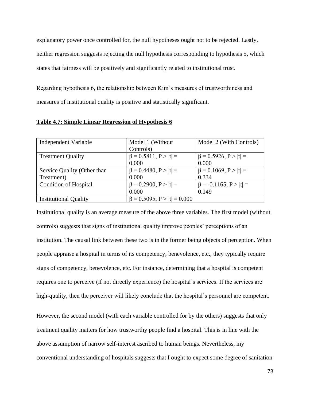explanatory power once controlled for, the null hypotheses ought not to be rejected. Lastly, neither regression suggests rejecting the null hypothesis corresponding to hypothesis 5, which states that fairness will be positively and significantly related to institutional trust.

Regarding hypothesis 6, the relationship between Kim's measures of trustworthiness and measures of institutional quality is positive and statistically significant.

| Independent Variable         | Model 1 (Without)                    | Model 2 (With Controls)        |
|------------------------------|--------------------------------------|--------------------------------|
|                              | Controls)                            |                                |
| <b>Treatment Quality</b>     | $\beta = 0.5811, P >  t  =$          | $\beta = 0.5926, P >  t  =$    |
|                              | 0.000                                | 0.000                          |
| Service Quality (Other than  | $\beta = 0.4480, P >  t  =$          | $\beta = 0.1069$ , $P >  t  =$ |
| Treatment)                   | 0.000                                | 0.334                          |
| <b>Condition of Hospital</b> | $\beta = 0.2900, P >  t  =$          | $\beta$ = -0.1165, P >  t  =   |
|                              | 0.000                                | 0.149                          |
| <b>Institutional Quality</b> | $\beta = 0.5095$ , $P >  t  = 0.000$ |                                |

**Table 4.7: Simple Linear Regression of Hypothesis 6**

Institutional quality is an average measure of the above three variables. The first model (without controls) suggests that signs of institutional quality improve peoples' perceptions of an institution. The causal link between these two is in the former being objects of perception. When people appraise a hospital in terms of its competency, benevolence, etc., they typically require signs of competency, benevolence, etc. For instance, determining that a hospital is competent requires one to perceive (if not directly experience) the hospital's services. If the services are high-quality, then the perceiver will likely conclude that the hospital's personnel are competent.

However, the second model (with each variable controlled for by the others) suggests that only treatment quality matters for how trustworthy people find a hospital. This is in line with the above assumption of narrow self-interest ascribed to human beings. Nevertheless, my conventional understanding of hospitals suggests that I ought to expect some degree of sanitation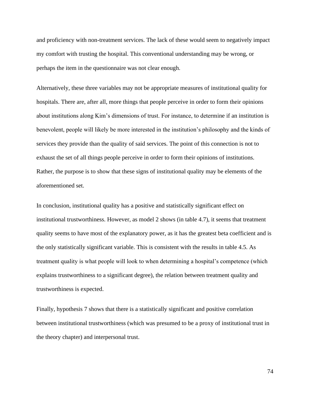and proficiency with non-treatment services. The lack of these would seem to negatively impact my comfort with trusting the hospital. This conventional understanding may be wrong, or perhaps the item in the questionnaire was not clear enough.

Alternatively, these three variables may not be appropriate measures of institutional quality for hospitals. There are, after all, more things that people perceive in order to form their opinions about institutions along Kim's dimensions of trust. For instance, to determine if an institution is benevolent, people will likely be more interested in the institution's philosophy and the kinds of services they provide than the quality of said services. The point of this connection is not to exhaust the set of all things people perceive in order to form their opinions of institutions. Rather, the purpose is to show that these signs of institutional quality may be elements of the aforementioned set.

In conclusion, institutional quality has a positive and statistically significant effect on institutional trustworthiness. However, as model 2 shows (in table 4.7), it seems that treatment quality seems to have most of the explanatory power, as it has the greatest beta coefficient and is the only statistically significant variable. This is consistent with the results in table 4.5. As treatment quality is what people will look to when determining a hospital's competence (which explains trustworthiness to a significant degree), the relation between treatment quality and trustworthiness is expected.

Finally, hypothesis 7 shows that there is a statistically significant and positive correlation between institutional trustworthiness (which was presumed to be a proxy of institutional trust in the theory chapter) and interpersonal trust.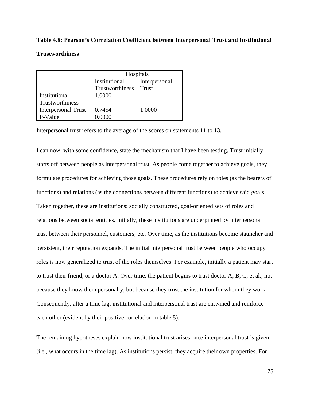#### **Table 4.8: Pearson's Correlation Coefficient between Interpersonal Trust and Institutional**

#### **Trustworthiness**

|                            | Hospitals       |               |
|----------------------------|-----------------|---------------|
|                            | Institutional   | Interpersonal |
|                            | Trustworthiness | Trust         |
| Institutional              | 1.0000          |               |
| Trustworthiness            |                 |               |
| <b>Interpersonal Trust</b> | 0.7454          | 1.0000        |
| P-Value                    | 0.0000          |               |

Interpersonal trust refers to the average of the scores on statements 11 to 13.

I can now, with some confidence, state the mechanism that I have been testing. Trust initially starts off between people as interpersonal trust. As people come together to achieve goals, they formulate procedures for achieving those goals. These procedures rely on roles (as the bearers of functions) and relations (as the connections between different functions) to achieve said goals. Taken together, these are institutions: socially constructed, goal-oriented sets of roles and relations between social entities. Initially, these institutions are underpinned by interpersonal trust between their personnel, customers, etc. Over time, as the institutions become stauncher and persistent, their reputation expands. The initial interpersonal trust between people who occupy roles is now generalized to trust of the roles themselves. For example, initially a patient may start to trust their friend, or a doctor A. Over time, the patient begins to trust doctor A, B, C, et al., not because they know them personally, but because they trust the institution for whom they work. Consequently, after a time lag, institutional and interpersonal trust are entwined and reinforce each other (evident by their positive correlation in table 5).

The remaining hypotheses explain how institutional trust arises once interpersonal trust is given (i.e., what occurs in the time lag). As institutions persist, they acquire their own properties. For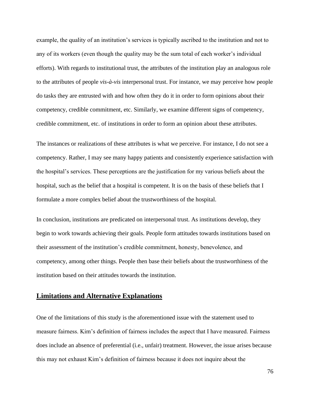example, the quality of an institution's services is typically ascribed to the institution and not to any of its workers (even though the quality may be the sum total of each worker's individual efforts). With regards to institutional trust, the attributes of the institution play an analogous role to the attributes of people *vis-à-vis* interpersonal trust. For instance, we may perceive how people do tasks they are entrusted with and how often they do it in order to form opinions about their competency, credible commitment, etc. Similarly, we examine different signs of competency, credible commitment, etc. of institutions in order to form an opinion about these attributes.

The instances or realizations of these attributes is what we perceive. For instance, I do not see a competency. Rather, I may see many happy patients and consistently experience satisfaction with the hospital's services. These perceptions are the justification for my various beliefs about the hospital, such as the belief that a hospital is competent. It is on the basis of these beliefs that I formulate a more complex belief about the trustworthiness of the hospital.

In conclusion, institutions are predicated on interpersonal trust. As institutions develop, they begin to work towards achieving their goals. People form attitudes towards institutions based on their assessment of the institution's credible commitment, honesty, benevolence, and competency, among other things. People then base their beliefs about the trustworthiness of the institution based on their attitudes towards the institution.

#### **Limitations and Alternative Explanations**

One of the limitations of this study is the aforementioned issue with the statement used to measure fairness. Kim's definition of fairness includes the aspect that I have measured. Fairness does include an absence of preferential (i.e., unfair) treatment. However, the issue arises because this may not exhaust Kim's definition of fairness because it does not inquire about the

76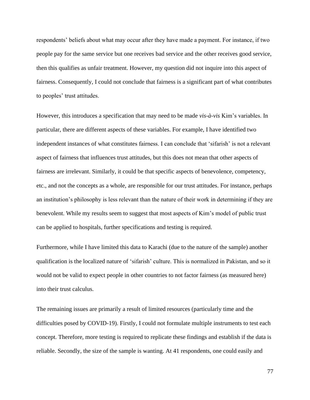respondents' beliefs about what may occur after they have made a payment. For instance, if two people pay for the same service but one receives bad service and the other receives good service, then this qualifies as unfair treatment. However, my question did not inquire into this aspect of fairness. Consequently, I could not conclude that fairness is a significant part of what contributes to peoples' trust attitudes.

However, this introduces a specification that may need to be made *vis-à-vis* Kim's variables. In particular, there are different aspects of these variables. For example, I have identified two independent instances of what constitutes fairness. I can conclude that 'sifarish' is not a relevant aspect of fairness that influences trust attitudes, but this does not mean that other aspects of fairness are irrelevant. Similarly, it could be that specific aspects of benevolence, competency, etc., and not the concepts as a whole, are responsible for our trust attitudes. For instance, perhaps an institution's philosophy is less relevant than the nature of their work in determining if they are benevolent. While my results seem to suggest that most aspects of Kim's model of public trust can be applied to hospitals, further specifications and testing is required.

Furthermore, while I have limited this data to Karachi (due to the nature of the sample) another qualification is the localized nature of 'sifarish' culture. This is normalized in Pakistan, and so it would not be valid to expect people in other countries to not factor fairness (as measured here) into their trust calculus.

The remaining issues are primarily a result of limited resources (particularly time and the difficulties posed by COVID-19). Firstly, I could not formulate multiple instruments to test each concept. Therefore, more testing is required to replicate these findings and establish if the data is reliable. Secondly, the size of the sample is wanting. At 41 respondents, one could easily and

77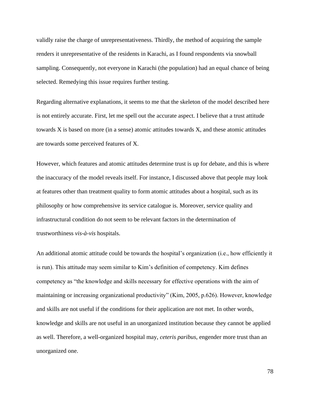validly raise the charge of unrepresentativeness. Thirdly, the method of acquiring the sample renders it unrepresentative of the residents in Karachi, as I found respondents via snowball sampling. Consequently, not everyone in Karachi (the population) had an equal chance of being selected. Remedying this issue requires further testing.

Regarding alternative explanations, it seems to me that the skeleton of the model described here is not entirely accurate. First, let me spell out the accurate aspect. I believe that a trust attitude towards X is based on more (in a sense) atomic attitudes towards X, and these atomic attitudes are towards some perceived features of X.

However, which features and atomic attitudes determine trust is up for debate, and this is where the inaccuracy of the model reveals itself. For instance, I discussed above that people may look at features other than treatment quality to form atomic attitudes about a hospital, such as its philosophy or how comprehensive its service catalogue is. Moreover, service quality and infrastructural condition do not seem to be relevant factors in the determination of trustworthiness *vis-à-vis* hospitals.

An additional atomic attitude could be towards the hospital's organization (i.e., how efficiently it is run). This attitude may seem similar to Kim's definition of competency. Kim defines competency as "the knowledge and skills necessary for effective operations with the aim of maintaining or increasing organizational productivity" (Kim, 2005, p.626). However, knowledge and skills are not useful if the conditions for their application are not met. In other words, knowledge and skills are not useful in an unorganized institution because they cannot be applied as well. Therefore, a well-organized hospital may, *ceteris paribus*, engender more trust than an unorganized one.

78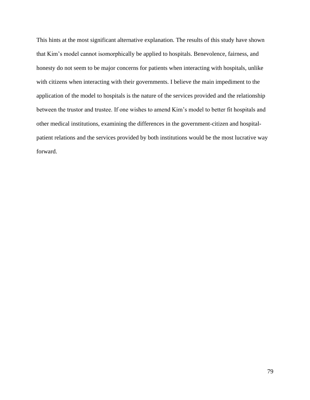This hints at the most significant alternative explanation. The results of this study have shown that Kim's model cannot isomorphically be applied to hospitals. Benevolence, fairness, and honesty do not seem to be major concerns for patients when interacting with hospitals, unlike with citizens when interacting with their governments. I believe the main impediment to the application of the model to hospitals is the nature of the services provided and the relationship between the trustor and trustee. If one wishes to amend Kim's model to better fit hospitals and other medical institutions, examining the differences in the government-citizen and hospitalpatient relations and the services provided by both institutions would be the most lucrative way forward.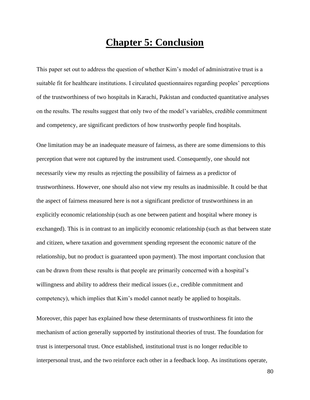# **Chapter 5: Conclusion**

This paper set out to address the question of whether Kim's model of administrative trust is a suitable fit for healthcare institutions. I circulated questionnaires regarding peoples' perceptions of the trustworthiness of two hospitals in Karachi, Pakistan and conducted quantitative analyses on the results. The results suggest that only two of the model's variables, credible commitment and competency, are significant predictors of how trustworthy people find hospitals.

One limitation may be an inadequate measure of fairness, as there are some dimensions to this perception that were not captured by the instrument used. Consequently, one should not necessarily view my results as rejecting the possibility of fairness as a predictor of trustworthiness. However, one should also not view my results as inadmissible. It could be that the aspect of fairness measured here is not a significant predictor of trustworthiness in an explicitly economic relationship (such as one between patient and hospital where money is exchanged). This is in contrast to an implicitly economic relationship (such as that between state and citizen, where taxation and government spending represent the economic nature of the relationship, but no product is guaranteed upon payment). The most important conclusion that can be drawn from these results is that people are primarily concerned with a hospital's willingness and ability to address their medical issues (i.e., credible commitment and competency), which implies that Kim's model cannot neatly be applied to hospitals.

Moreover, this paper has explained how these determinants of trustworthiness fit into the mechanism of action generally supported by institutional theories of trust. The foundation for trust is interpersonal trust. Once established, institutional trust is no longer reducible to interpersonal trust, and the two reinforce each other in a feedback loop. As institutions operate,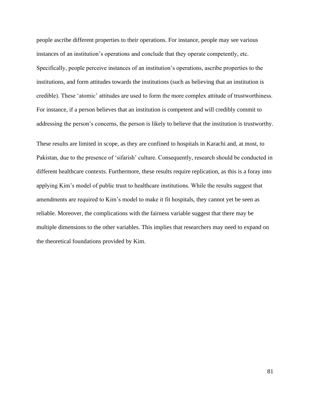people ascribe different properties to their operations. For instance, people may see various instances of an institution's operations and conclude that they operate competently, etc. Specifically, people perceive instances of an institution's operations, ascribe properties to the institutions, and form attitudes towards the institutions (such as believing that an institution is credible). These 'atomic' attitudes are used to form the more complex attitude of trustworthiness. For instance, if a person believes that an institution is competent and will credibly commit to addressing the person's concerns, the person is likely to believe that the institution is trustworthy.

These results are limited in scope, as they are confined to hospitals in Karachi and, at most, to Pakistan, due to the presence of 'sifarish' culture. Consequently, research should be conducted in different healthcare contexts. Furthermore, these results require replication, as this is a foray into applying Kim's model of public trust to healthcare institutions. While the results suggest that amendments are required to Kim's model to make it fit hospitals, they cannot yet be seen as reliable. Moreover, the complications with the fairness variable suggest that there may be multiple dimensions to the other variables. This implies that researchers may need to expand on the theoretical foundations provided by Kim.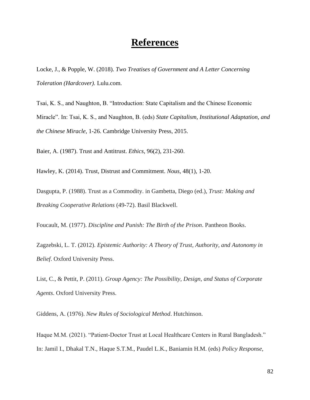# **References**

Locke, J., & Popple, W. (2018). *Two Treatises of Government and A Letter Concerning Toleration (Hardcover).* Lulu.com.

Tsai, K. S., and Naughton, B. "Introduction: State Capitalism and the Chinese Economic Miracle". In: Tsai, K. S., and Naughton, B. (eds) *State Capitalism, Institutional Adaptation, and the Chinese Miracle*, 1-26. Cambridge University Press, 2015.

Baier, A. (1987). Trust and Antitrust. *Ethics*, 96(2), 231-260.

Hawley, K. (2014). Trust, Distrust and Commitment. *Nous*, 48(1), 1-20.

Dasgupta, P. (1988). Trust as a Commodity. in Gambetta, Diego (ed.), *Trust: Making and Breaking Cooperative Relations* (49-72). Basil Blackwell.

Foucault, M. (1977). *Discipline and Punish: The Birth of the Prison*. Pantheon Books.

Zagzebski, L. T. (2012). *Epistemic Authority: A Theory of Trust, Authority, and Autonomy in Belief*. Oxford University Press.

List, C., & Pettit, P. (2011). *Group Agency: The Possibility, Design, and Status of Corporate Agents*. Oxford University Press.

Giddens, A. (1976). *New Rules of Sociological Method*. Hutchinson.

Haque M.M. (2021). "Patient-Doctor Trust at Local Healthcare Centers in Rural Bangladesh." In: Jamil I., Dhakal T.N., Haque S.T.M., Paudel L.K., Baniamin H.M. (eds) *Policy Response,*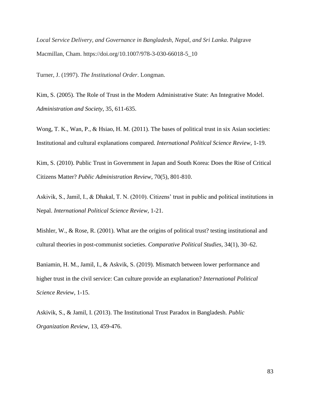*Local Service Delivery, and Governance in Bangladesh, Nepal, and Sri Lanka*. Palgrave Macmillan, Cham. https://doi.org/10.1007/978-3-030-66018-5\_10

Turner, J. (1997). *The Institutional Order*. Longman.

Kim, S. (2005). The Role of Trust in the Modern Administrative State: An Integrative Model. *Administration and Society*, 35, 611-635.

Wong, T. K., Wan, P., & Hsiao, H. M. (2011). The bases of political trust in six Asian societies: Institutional and cultural explanations compared. *International Political Science Review*, 1-19.

Kim, S. (2010). Public Trust in Government in Japan and South Korea: Does the Rise of Critical Citizens Matter? *Public Administration Review*, 70(5), 801-810.

Askivik, S., Jamil, I., & Dhakal, T. N. (2010). Citizens' trust in public and political institutions in Nepal. *International Political Science Review*, 1-21.

Mishler, W., & Rose, R. (2001). What are the origins of political trust? testing institutional and cultural theories in post-communist societies. *Comparative Political Studies*, 34(1), 30–62.

Baniamin, H. M., Jamil, I., & Askvik, S. (2019). Mismatch between lower performance and higher trust in the civil service: Can culture provide an explanation? *International Political Science Review*, 1-15.

Askivik, S., & Jamil, I. (2013). The Institutional Trust Paradox in Bangladesh. *Public Organization Review*, 13, 459-476.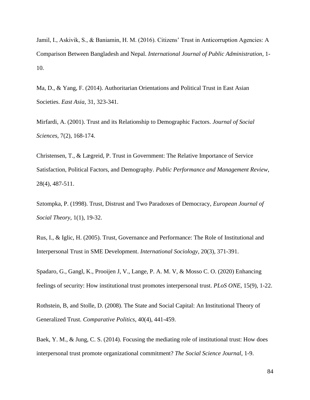Jamil, I., Askivik, S., & Baniamin, H. M. (2016). Citizens' Trust in Anticorruption Agencies: A Comparison Between Bangladesh and Nepal. *International Journal of Public Administration*, 1- 10.

Ma, D., & Yang, F. (2014). Authoritarian Orientations and Political Trust in East Asian Societies. *East Asia*, 31, 323-341.

Mirfardi, A. (2001). Trust and its Relationship to Demographic Factors. *Journal of Social Sciences*, 7(2), 168-174.

Christensen, T., & Lægreid, P. Trust in Government: The Relative Importance of Service Satisfaction, Political Factors, and Demography. *Public Performance and Management Review*, 28(4), 487-511.

Sztompka, P. (1998). Trust, Distrust and Two Paradoxes of Democracy, *European Journal of Social Theory*, 1(1), 19-32.

Rus, I., & Iglic, H. (2005). Trust, Governance and Performance: The Role of Institutional and Interpersonal Trust in SME Development. *International Sociology*, 20(3), 371-391.

Spadaro, G., Gangl, K., Prooijen J, V., Lange, P. A. M. V, & Mosso C. O. (2020) Enhancing feelings of security: How institutional trust promotes interpersonal trust. *PLoS ONE*, 15(9), 1-22.

Rothstein, B, and Stolle, D. (2008). The State and Social Capital: An Institutional Theory of Generalized Trust. *Comparative Politics*, 40(4), 441-459.

Baek, Y. M., & Jung, C. S. (2014). Focusing the mediating role of institutional trust: How does interpersonal trust promote organizational commitment? *The Social Science Journal*, 1-9.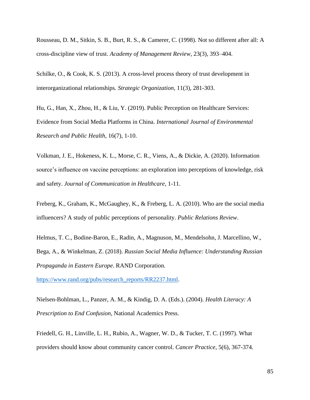Rousseau, D. M., Sitkin, S. B., Burt, R. S., & Camerer, C. (1998). Not so different after all: A cross-discipline view of trust. *Academy of Management Review*, 23(3), 393–404.

Schilke, O., & Cook, K. S. (2013). A cross-level process theory of trust development in interorganizational relationships. *Strategic Organization*, 11(3), 281-303.

Hu, G., Han, X., Zhou, H., & Liu, Y. (2019). Public Perception on Healthcare Services: Evidence from Social Media Platforms in China. *International Journal of Environmental Research and Public Health*, 16(7), 1-10.

Volkman, J. E., Hokeness, K. L., Morse, C. R., Viens, A., & Dickie, A. (2020). Information source's influence on vaccine perceptions: an exploration into perceptions of knowledge, risk and safety. *Journal of Communication in Healthcare*, 1-11.

Freberg, K., Graham, K., McGaughey, K., & Freberg, L. A. (2010). Who are the social media influencers? A study of public perceptions of personality. *Public Relations Review*.

Helmus, T. C., Bodine-Baron, E., Radin, A., Magnuson, M., Mendelsohn, J. Marcellino, W., Bega, A., & Winkelman, Z. (2018). *Russian Social Media Influence: Understanding Russian Propaganda in Eastern Europe*. RAND Corporation.

https://www.rand.org/pubs/research\_reports/RR2237.html.

Nielsen-Bohlman, L., Panzer, A. M., & Kindig, D. A. (Eds.). (2004). *Health Literacy: A Prescription to End Confusion*, National Academics Press.

Friedell, G. H., Linville, L. H., Rubio, A., Wagner, W. D., & Tucker, T. C. (1997). What providers should know about community cancer control. *Cancer Practice*, 5(6), 367-374.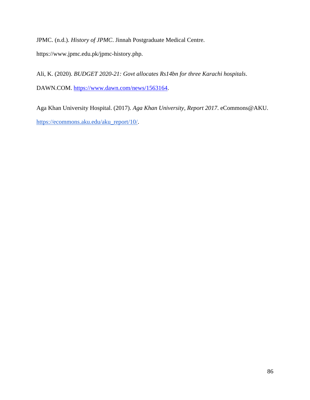JPMC. (n.d.). *History of JPMC*. Jinnah Postgraduate Medical Centre.

https://www.jpmc.edu.pk/jpmc-history.php.

Ali, K. (2020). *BUDGET 2020-21: Govt allocates Rs14bn for three Karachi hospitals*. DAWN.COM. https://www.dawn.com/news/1563164.

Aga Khan University Hospital. (2017). *Aga Khan University, Report 2017*. eCommons@AKU. https://ecommons.aku.edu/aku\_report/10/.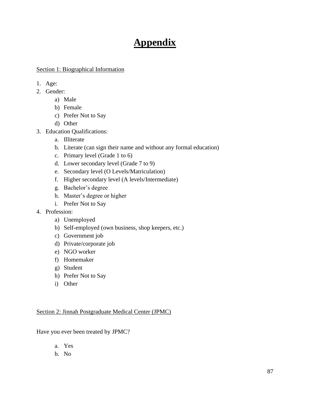# **Appendix**

#### Section 1: Biographical Information

- 1. Age:
- 2. Gender:
	- a) Male
	- b) Female
	- c) Prefer Not to Say
	- d) Other
- 3. Education Qualifications:
	- a. Illiterate
	- b. Literate (can sign their name and without any formal education)
	- c. Primary level (Grade 1 to 6)
	- d. Lower secondary level (Grade 7 to 9)
	- e. Secondary level (O Levels/Matriculation)
	- f. Higher secondary level (A levels/Intermediate)
	- g. Bachelor's degree
	- h. Master's degree or higher
	- i. Prefer Not to Say
- 4. Profession:
	- a) Unemployed
	- b) Self-employed (own business, shop keepers, etc.)
	- c) Government job
	- d) Private/corporate job
	- e) NGO worker
	- f) Homemaker
	- g) Student
	- h) Prefer Not to Say
	- i) Other

#### Section 2: Jinnah Postgraduate Medical Center (JPMC)

Have you ever been treated by JPMC?

- a. Yes
- b. No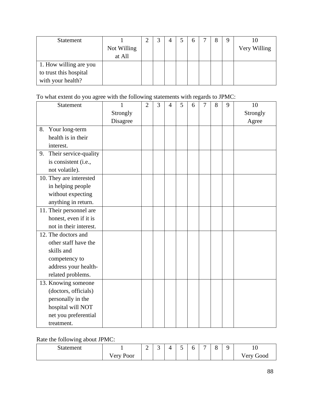| <b>Statement</b>       |             |  |  |  | 8 | 9 |              |
|------------------------|-------------|--|--|--|---|---|--------------|
|                        | Not Willing |  |  |  |   |   | Very Willing |
|                        | at All      |  |  |  |   |   |              |
| 1. How willing are you |             |  |  |  |   |   |              |
| to trust this hospital |             |  |  |  |   |   |              |
| with your health?      |             |  |  |  |   |   |              |

To what extent do you agree with the following statements with regards to JPMC:

| <b>Statement</b>            | 1        | $\overline{2}$ | 3 | 4 | 5 | 6 | 7 | 8 | 9 | 10       |
|-----------------------------|----------|----------------|---|---|---|---|---|---|---|----------|
|                             | Strongly |                |   |   |   |   |   |   |   | Strongly |
|                             | Disagree |                |   |   |   |   |   |   |   | Agree    |
| 8. Your long-term           |          |                |   |   |   |   |   |   |   |          |
| health is in their          |          |                |   |   |   |   |   |   |   |          |
| interest.                   |          |                |   |   |   |   |   |   |   |          |
| Their service-quality<br>9. |          |                |   |   |   |   |   |   |   |          |
| is consistent (i.e.,        |          |                |   |   |   |   |   |   |   |          |
| not volatile).              |          |                |   |   |   |   |   |   |   |          |
| 10. They are interested     |          |                |   |   |   |   |   |   |   |          |
| in helping people           |          |                |   |   |   |   |   |   |   |          |
| without expecting           |          |                |   |   |   |   |   |   |   |          |
| anything in return.         |          |                |   |   |   |   |   |   |   |          |
| 11. Their personnel are     |          |                |   |   |   |   |   |   |   |          |
| honest, even if it is       |          |                |   |   |   |   |   |   |   |          |
| not in their interest.      |          |                |   |   |   |   |   |   |   |          |
| 12. The doctors and         |          |                |   |   |   |   |   |   |   |          |
| other staff have the        |          |                |   |   |   |   |   |   |   |          |
| skills and                  |          |                |   |   |   |   |   |   |   |          |
| competency to               |          |                |   |   |   |   |   |   |   |          |
| address your health-        |          |                |   |   |   |   |   |   |   |          |
| related problems.           |          |                |   |   |   |   |   |   |   |          |
| 13. Knowing someone         |          |                |   |   |   |   |   |   |   |          |
| (doctors, officials)        |          |                |   |   |   |   |   |   |   |          |
| personally in the           |          |                |   |   |   |   |   |   |   |          |
| hospital will NOT           |          |                |   |   |   |   |   |   |   |          |
| net you preferential        |          |                |   |   |   |   |   |   |   |          |
| treatment.                  |          |                |   |   |   |   |   |   |   |          |

Rate the following about JPMC:

| ັ                           |                                        |             |             |   |   |   |                          |                    |                         |
|-----------------------------|----------------------------------------|-------------|-------------|---|---|---|--------------------------|--------------------|-------------------------|
| $^{\circ}$ + $\circ$ tement |                                        | $\sim$<br>∽ | $\sim$<br>ັ | Д | - | - | $\overline{\phantom{0}}$ | $\Omega$<br>ີ<br>O | £<br>1 <sub>0</sub>     |
|                             | T<br>n.<br>$\sqrt{e}$ rv<br>'oor<br>л. |             |             |   |   |   |                          |                    | T<br>Good<br>errV<br>◡⊥ |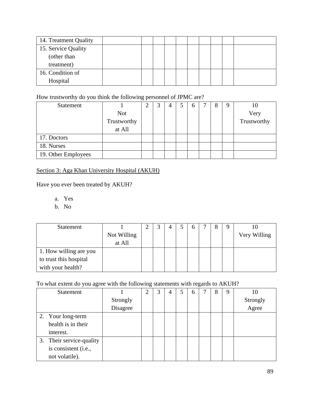| 14. Treatment Quality |  |  |  |  |  |
|-----------------------|--|--|--|--|--|
| 15. Service Quality   |  |  |  |  |  |
| (other than           |  |  |  |  |  |
| treatment)            |  |  |  |  |  |
| 16. Condition of      |  |  |  |  |  |
| Hospital              |  |  |  |  |  |

### How trustworthy do you think the following personnel of JPMC are?

| <b>Statement</b>    |             | 3 | 4 | h | 8 | 9 | 10          |
|---------------------|-------------|---|---|---|---|---|-------------|
|                     | <b>Not</b>  |   |   |   |   |   | Very        |
|                     | Trustworthy |   |   |   |   |   | Trustworthy |
|                     | at All      |   |   |   |   |   |             |
| 17. Doctors         |             |   |   |   |   |   |             |
| 18. Nurses          |             |   |   |   |   |   |             |
| 19. Other Employees |             |   |   |   |   |   |             |

## Section 3: Aga Khan University Hospital (AKUH)

Have you ever been treated by AKUH?

a. Yes

b. No

| <b>Statement</b>       |             | ⌒ |  | <sub>0</sub> | 8 | Q |              |
|------------------------|-------------|---|--|--------------|---|---|--------------|
|                        | Not Willing |   |  |              |   |   | Very Willing |
|                        | at All      |   |  |              |   |   |              |
| 1. How willing are you |             |   |  |              |   |   |              |
| to trust this hospital |             |   |  |              |   |   |              |
| with your health?      |             |   |  |              |   |   |              |

To what extent do you agree with the following statements with regards to AKUH?

| <b>Statement</b>         |          | 2 | 3 | 4 | 6 | 8 | 9 | 10       |
|--------------------------|----------|---|---|---|---|---|---|----------|
|                          | Strongly |   |   |   |   |   |   | Strongly |
|                          | Disagree |   |   |   |   |   |   | Agree    |
| 2. Your long-term        |          |   |   |   |   |   |   |          |
| health is in their       |          |   |   |   |   |   |   |          |
| interest.                |          |   |   |   |   |   |   |          |
| 3. Their service-quality |          |   |   |   |   |   |   |          |
| is consistent (i.e.,     |          |   |   |   |   |   |   |          |
| not volatile).           |          |   |   |   |   |   |   |          |